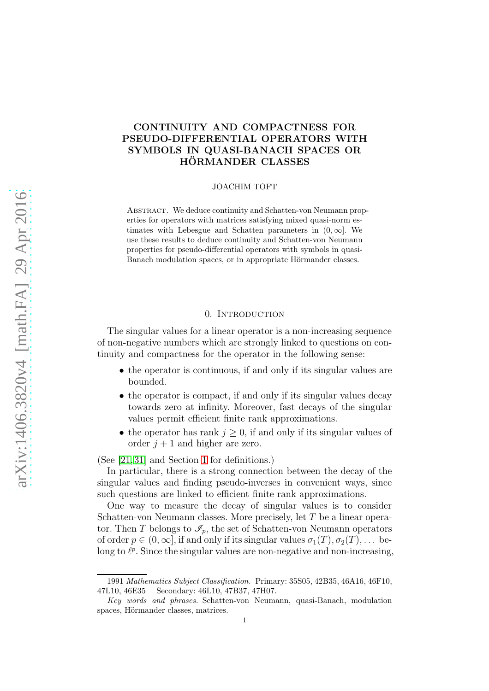# CONTINUITY AND COMPACTNESS FOR PSEUDO-DIFFERENTIAL OPERATORS WITH SYMBOLS IN QUASI-BANACH SPACES OR HÖRMANDER CLASSES

#### JOACHIM TOFT

ABSTRACT. We deduce continuity and Schatten-von Neumann properties for operators with matrices satisfying mixed quasi-norm estimates with Lebesgue and Schatten parameters in  $(0, \infty)$ . We use these results to deduce continuity and Schatten-von Neumann properties for pseudo-differential operators with symbols in quasi-Banach modulation spaces, or in appropriate Hörmander classes.

# 0. INTRODUCTION

The singular values for a linear operator is a non-increasing sequence of non-negative numbers which are strongly linked to questions on continuity and compactness for the operator in the following sense:

- the operator is continuous, if and only if its singular values are bounded.
- the operator is compact, if and only if its singular values decay towards zero at infinity. Moreover, fast decays of the singular values permit efficient finite rank approximations.
- the operator has rank  $j \geq 0$ , if and only if its singular values of order  $j + 1$  and higher are zero.

(See [\[21,](#page-36-0) [31\]](#page-36-1) and Section [1](#page-4-0) for definitions.)

In particular, there is a strong connection between the decay of the singular values and finding pseudo-inverses in convenient ways, since such questions are linked to efficient finite rank approximations.

One way to measure the decay of singular values is to consider Schatten-von Neumann classes. More precisely, let T be a linear operator. Then T belongs to  $\mathscr{I}_p$ , the set of Schatten-von Neumann operators of order  $p \in (0,\infty]$ , if and only if its singular values  $\sigma_1(T), \sigma_2(T), \ldots$  belong to  $\ell^p$ . Since the singular values are non-negative and non-increasing,

<sup>1991</sup> Mathematics Subject Classification. Primary: 35S05, 42B35, 46A16, 46F10, 47L10, 46E35 Secondary: 46L10, 47B37, 47H07.

Key words and phrases. Schatten-von Neumann, quasi-Banach, modulation spaces, Hörmander classes, matrices.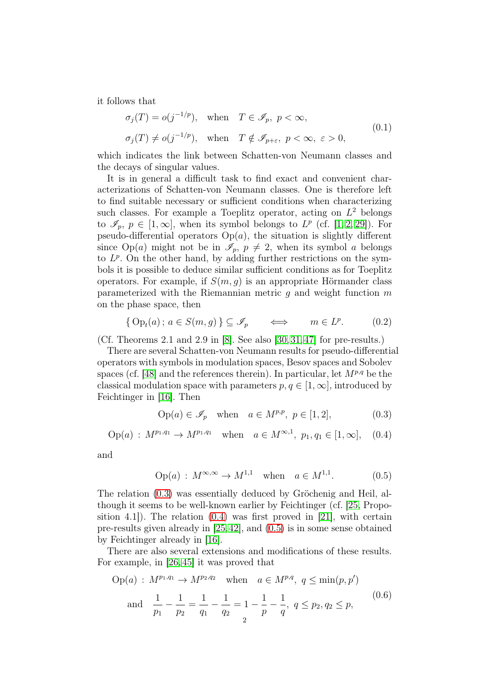it follows that

<span id="page-1-3"></span>
$$
\sigma_j(T) = o(j^{-1/p}), \quad \text{when} \quad T \in \mathcal{I}_p, \ p < \infty,
$$
  

$$
\sigma_j(T) \neq o(j^{-1/p}), \quad \text{when} \quad T \notin \mathcal{I}_{p+\varepsilon}, \ p < \infty, \ \varepsilon > 0,
$$
 (0.1)

which indicates the link between Schatten-von Neumann classes and the decays of singular values.

It is in general a difficult task to find exact and convenient characterizations of Schatten-von Neumann classes. One is therefore left to find suitable necessary or sufficient conditions when characterizing such classes. For example a Toeplitz operator, acting on  $L^2$  belongs to  $\mathscr{I}_p, p \in [1,\infty]$  $\mathscr{I}_p, p \in [1,\infty]$  $\mathscr{I}_p, p \in [1,\infty]$ , when its symbol belongs to  $L^p$  (cf. [1, [2,](#page-35-1) [29\]](#page-36-2)). For pseudo-differential operators  $Op(a)$ , the situation is slightly different since Op(a) might not be in  $\mathscr{I}_p$ ,  $p \neq 2$ , when its symbol a belongs to  $L^p$ . On the other hand, by adding further restrictions on the symbols it is possible to deduce similar sufficient conditions as for Toeplitz operators. For example, if  $S(m, g)$  is an appropriate Hörmander class parameterized with the Riemannian metric q and weight function  $m$ on the phase space, then

<span id="page-1-4"></span>
$$
\{ \text{Op}_t(a) \, ; \, a \in S(m, g) \} \subseteq \mathscr{I}_p \qquad \Longleftrightarrow \qquad m \in L^p. \tag{0.2}
$$

(Cf. Theorems 2.1 and 2.9 in [\[8\]](#page-35-2). See also [\[30,](#page-36-3) [31,](#page-36-1) [47\]](#page-37-0) for pre-results.)

There are several Schatten-von Neumann results for pseudo-differential operators with symbols in modulation spaces, Besov spaces and Sobolev spaces (cf. [\[48\]](#page-37-1) and the references therein). In particular, let  $M^{p,q}$  be the classical modulation space with parameters  $p, q \in [1, \infty]$ , introduced by Feichtinger in [\[16\]](#page-35-3). Then

<span id="page-1-1"></span><span id="page-1-0"></span>
$$
Op(a) \in \mathscr{I}_p \quad \text{when} \quad a \in M^{p,p}, \ p \in [1,2], \tag{0.3}
$$

$$
Op(a): M^{p_1,q_1} \to M^{p_1,q_1} \text{ when } a \in M^{\infty,1}, p_1, q_1 \in [1,\infty], (0.4)
$$

and

<span id="page-1-2"></span>
$$
Op(a): M^{\infty,\infty} \to M^{1,1} \text{ when } a \in M^{1,1}.
$$
 (0.5)

The relation [\(0.3\)](#page-1-0) was essentially deduced by Gröchenig and Heil, although it seems to be well-known earlier by Feichtinger (cf. [\[25,](#page-36-4) Proposition 4.1]). The relation [\(0.4\)](#page-1-1) was first proved in [\[21\]](#page-36-0), with certain pre-results given already in [\[25,](#page-36-4)[42\]](#page-37-2), and [\(0.5\)](#page-1-2) is in some sense obtained by Feichtinger already in [\[16\]](#page-35-3).

There are also several extensions and modifications of these results. For example, in [\[26,](#page-36-5) [45\]](#page-37-3) it was proved that

<span id="page-1-5"></span>
$$
\text{Op}(a): M^{p_1, q_1} \to M^{p_2, q_2} \quad \text{when} \quad a \in M^{p, q}, \ q \le \min(p, p')\n\text{and} \quad \frac{1}{p_1} - \frac{1}{p_2} = \frac{1}{q_1} - \frac{1}{q_2} = 1 - \frac{1}{p} - \frac{1}{q}, \ q \le p_2, q_2 \le p,
$$
\n(0.6)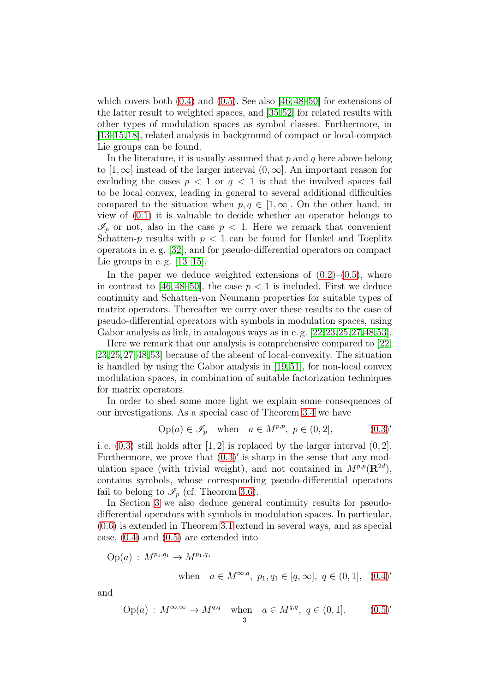which covers both  $(0.4)$  and  $(0.5)$ . See also [\[46,](#page-37-4)[48](#page-37-1)[–50\]](#page-37-5) for extensions of the latter result to weighted spaces, and [\[35,](#page-36-6)[52\]](#page-37-6) for related results with other types of modulation spaces as symbol classes. Furthermore, in [\[13](#page-35-4)[–15,](#page-35-5)[18\]](#page-36-7), related analysis in background of compact or local-compact Lie groups can be found.

In the literature, it is usually assumed that  $p$  and  $q$  here above belong to  $[1,\infty]$  instead of the larger interval  $(0,\infty]$ . An important reason for excluding the cases  $p < 1$  or  $q < 1$  is that the involved spaces fail to be local convex, leading in general to several additional difficulties compared to the situation when  $p, q \in [1, \infty]$ . On the other hand, in view of [\(0.1\)](#page-1-3) it is valuable to decide whether an operator belongs to  $\mathscr{I}_p$  or not, also in the case  $p < 1$ . Here we remark that convenient Schatten-p results with  $p < 1$  can be found for Hankel and Toeplitz operators in e. g. [\[32\]](#page-36-8), and for pseudo-differential operators on compact Lie groups in e.g.  $[13-15]$  $[13-15]$ .

In the paper we deduce weighted extensions of  $(0.2)$ – $(0.5)$ , where in contrast to [\[46,](#page-37-4) [48–](#page-37-1)[50\]](#page-37-5), the case  $p < 1$  is included. First we deduce continuity and Schatten-von Neumann properties for suitable types of matrix operators. Thereafter we carry over these results to the case of pseudo-differential operators with symbols in modulation spaces, using Gabor analysis as link, in analogous ways as in e. g. [\[22,](#page-36-9)[23,](#page-36-10)[25,](#page-36-4)[27,](#page-36-11)[48,](#page-37-1)[53\]](#page-37-7).

Here we remark that our analysis is comprehensive compared to [\[22,](#page-36-9) [23,](#page-36-10)[25,](#page-36-4)[27,](#page-36-11)[48,](#page-37-1)[53\]](#page-37-7) because of the absent of local-convexity. The situation is handled by using the Gabor analysis in [\[19,](#page-36-12)[51\]](#page-37-8), for non-local convex modulation spaces, in combination of suitable factorization techniques for matrix operators.

In order to shed some more light we explain some consequences of our investigations. As a special case of Theorem [3.4](#page-23-0) we have

$$
Op(a) \in \mathcal{I}_p \quad \text{when} \quad a \in M^{p,p}, \ p \in (0,2], \tag{0.3}'
$$

i. e. [\(0.3\)](#page-1-0) still holds after [1, 2] is replaced by the larger interval (0, 2]. Furthermore, we prove that  $(0.3)'$  is sharp in the sense that any modulation space (with trivial weight), and not contained in  $M^{p,p}(\mathbf{R}^{2d})$ , contains symbols, whose corresponding pseudo-differential operators fail to belong to  $\mathscr{I}_p$  (cf. Theorem [3.6\)](#page-24-0).

In Section [3](#page-20-0) we also deduce general continuity results for pseudodifferential operators with symbols in modulation spaces. In particular, [\(0.6\)](#page-1-5) is extended in Theorem [3.1](#page-20-1) extend in several ways, and as special case, [\(0.4\)](#page-1-1) and [\(0.5\)](#page-1-2) are extended into

 $Op(a) : M^{p_1,q_1} \to M^{p_1,q_1}$ 

when 
$$
a \in M^{\infty,q}
$$
,  $p_1, q_1 \in [q, \infty]$ ,  $q \in (0, 1]$ ,  $(0.4)'$ 

and

$$
Op(a): M^{\infty,\infty} \to M^{q,q}
$$
 when  $a \in M^{q,q}, q \in (0,1].$  (0.5)'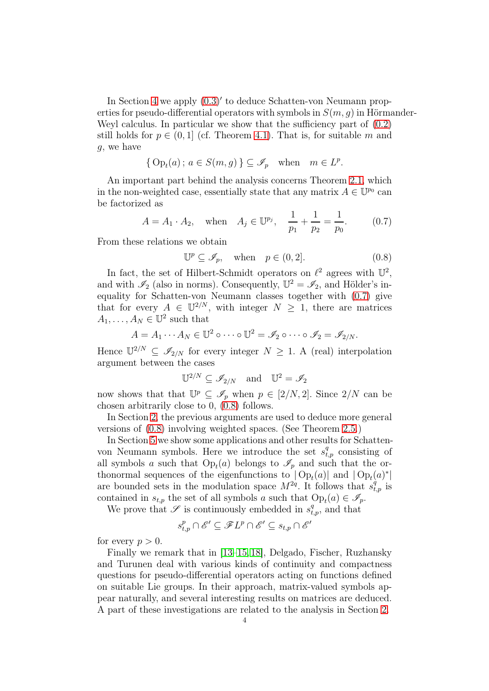In Section [4](#page-26-0) we apply [\(0.3\)](#page-1-0)′ to deduce Schatten-von Neumann properties for pseudo-differential operators with symbols in  $S(m, q)$  in Hörmander-Weyl calculus. In particular we show that the sufficiency part of  $(0.2)$ still holds for  $p \in (0,1]$  (cf. Theorem [4.1\)](#page-26-1). That is, for suitable m and g, we have

$$
\{ \operatorname{Op}_t(a) \, ; \, a \in S(m, g) \} \subseteq \mathscr{I}_p \quad \text{when} \quad m \in L^p.
$$

An important part behind the analysis concerns Theorem [2.1,](#page-14-0) which in the non-weighted case, essentially state that any matrix  $A \in \mathbb{U}^{p_0}$  can be factorized as

<span id="page-3-0"></span>
$$
A = A_1 \cdot A_2
$$
, when  $A_j \in \mathbb{U}^{p_j}$ ,  $\frac{1}{p_1} + \frac{1}{p_2} = \frac{1}{p_0}$ . (0.7)

From these relations we obtain

<span id="page-3-1"></span>
$$
\mathbb{U}^p \subseteq \mathscr{I}_p, \quad \text{when} \quad p \in (0, 2]. \tag{0.8}
$$

In fact, the set of Hilbert-Schmidt operators on  $\ell^2$  agrees with  $\mathbb{U}^2$ , and with  $\mathscr{I}_2$  (also in norms). Consequently,  $\mathbb{U}^2 = \mathscr{I}_2$ , and Hölder's inequality for Schatten-von Neumann classes together with [\(0.7\)](#page-3-0) give that for every  $A \in \mathbb{U}^{2/N}$ , with integer  $N \geq 1$ , there are matrices  $A_1, \ldots, A_N \in \mathbb{U}^2$  such that

$$
A = A_1 \cdots A_N \in \mathbb{U}^2 \circ \cdots \circ \mathbb{U}^2 = \mathscr{I}_2 \circ \cdots \circ \mathscr{I}_2 = \mathscr{I}_{2/N}.
$$

Hence  $\mathbb{U}^{2/N} \subseteq \mathscr{I}_{2/N}$  for every integer  $N \geq 1$ . A (real) interpolation argument between the cases

$$
\mathbb{U}^{2/N} \subseteq \mathscr{I}_{2/N} \quad \text{and} \quad \mathbb{U}^2 = \mathscr{I}_2
$$

now shows that that  $\mathbb{U}^p \subseteq \mathscr{I}_p$  when  $p \in [2/N, 2]$ . Since  $2/N$  can be chosen arbitrarily close to 0, [\(0.8\)](#page-3-1) follows.

In Section [2,](#page-13-0) the previous arguments are used to deduce more general versions of [\(0.8\)](#page-3-1) involving weighted spaces. (See Theorem [2.5.](#page-19-0))

In Section [5](#page-29-0) we show some applications and other results for Schattenvon Neumann symbols. Here we introduce the set  $s_{t,p}^q$  consisting of all symbols a such that  $Op_t(a)$  belongs to  $\mathscr{I}_p$  and such that the orthonormal sequences of the eigenfunctions to  $|Op_t(a)|$  and  $|Op_t(a)^*|$ are bounded sets in the modulation space  $M^{2q}$ . It follows that  $s_{t,p}^{\dot{q}}$  is contained in  $s_{t,p}$  the set of all symbols a such that  $Op_t(a) \in \mathscr{I}_p$ .

We prove that  $\mathscr S$  is continuously embedded in  $s_{t,p}^q$ , and that

$$
s^{p}_{t,p}\cap \mathscr{E}'\subseteq \mathscr{F}L^{p}\cap \mathscr{E}'\subseteq s_{t,p}\cap \mathscr{E}'
$$

for every  $p > 0$ .

Finally we remark that in [\[13–](#page-35-4)[15,](#page-35-5) [18\]](#page-36-7), Delgado, Fischer, Ruzhansky and Turunen deal with various kinds of continuity and compactness questions for pseudo-differential operators acting on functions defined on suitable Lie groups. In their approach, matrix-valued symbols appear naturally, and several interesting results on matrices are deduced. A part of these investigations are related to the analysis in Section [2.](#page-13-0)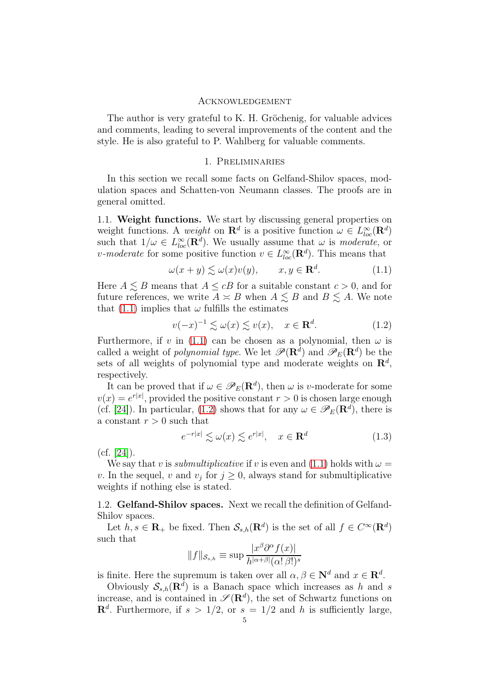#### Acknowledgement

The author is very grateful to K. H. Gröchenig, for valuable advices and comments, leading to several improvements of the content and the style. He is also grateful to P. Wahlberg for valuable comments.

### 1. Preliminaries

<span id="page-4-0"></span>In this section we recall some facts on Gelfand-Shilov spaces, modulation spaces and Schatten-von Neumann classes. The proofs are in general omitted.

1.1. Weight functions. We start by discussing general properties on weight functions. A weight on  $\mathbf{R}^d$  is a positive function  $\omega \in L^{\infty}_{loc}(\mathbf{R}^d)$ such that  $1/\omega \in L^{\infty}_{loc}(\mathbf{R}^d)$ . We usually assume that  $\omega$  is *moderate*, or v-moderate for some positive function  $v \in L^{\infty}_{loc}(\mathbf{R}^d)$ . This means that

<span id="page-4-1"></span>
$$
\omega(x+y) \lesssim \omega(x)v(y), \qquad x, y \in \mathbf{R}^d. \tag{1.1}
$$

Here  $A \lesssim B$  means that  $A \leq cB$  for a suitable constant  $c > 0$ , and for future references, we write  $A \simeq B$  when  $A \lesssim B$  and  $B \lesssim A$ . We note that [\(1.1\)](#page-4-1) implies that  $\omega$  fulfills the estimates

<span id="page-4-2"></span>
$$
v(-x)^{-1} \lesssim \omega(x) \lesssim v(x), \quad x \in \mathbf{R}^d. \tag{1.2}
$$

Furthermore, if v in [\(1.1\)](#page-4-1) can be chosen as a polynomial, then  $\omega$  is called a weight of *polynomial type*. We let  $\mathscr{P}(\mathbf{R}^d)$  and  $\mathscr{P}_E(\mathbf{R}^d)$  be the sets of all weights of polynomial type and moderate weights on  $\mathbb{R}^d$ , respectively.

It can be proved that if  $\omega \in \mathscr{P}_E(\mathbf{R}^d)$ , then  $\omega$  is v-moderate for some  $v(x) = e^{r|x|}$ , provided the positive constant  $r > 0$  is chosen large enough (cf. [\[24\]](#page-36-13)). In particular, [\(1.2\)](#page-4-2) shows that for any  $\omega \in \mathscr{P}_E(\mathbf{R}^d)$ , there is a constant  $r > 0$  such that

<span id="page-4-3"></span>
$$
e^{-r|x|} \lesssim \omega(x) \lesssim e^{r|x|}, \quad x \in \mathbf{R}^d \tag{1.3}
$$

 $(cf. [24]).$  $(cf. [24]).$  $(cf. [24]).$ 

We say that v is *submultiplicative* if v is even and  $(1.1)$  holds with  $\omega =$ v. In the sequel, v and  $v_j$  for  $j \geq 0$ , always stand for submultiplicative weights if nothing else is stated.

1.2. Gelfand-Shilov spaces. Next we recall the definition of Gelfand-Shilov spaces.

Let  $h, s \in \mathbf{R}_+$  be fixed. Then  $\mathcal{S}_{s,h}(\mathbf{R}^d)$  is the set of all  $f \in C^{\infty}(\mathbf{R}^d)$ such that

$$
||f||_{\mathcal{S}_{s,h}} \equiv \sup \frac{|x^{\beta} \partial^{\alpha} f(x)|}{h^{|\alpha+\beta|}(\alpha! \beta!)^s}
$$

is finite. Here the supremum is taken over all  $\alpha, \beta \in \mathbb{N}^d$  and  $x \in \mathbb{R}^d$ .

Obviously  $S_{s,h}(\mathbf{R}^{\bar{d}})$  is a Banach space which increases as h and s increase, and is contained in  $\mathscr{S}(\mathbf{R}^d)$ , the set of Schwartz functions on  $\mathbf{R}^d$ . Furthermore, if  $s > 1/2$ , or  $s = 1/2$  and h is sufficiently large,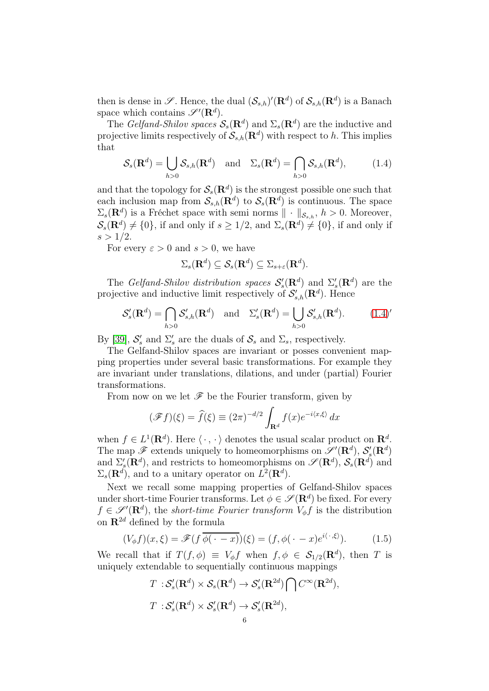then is dense in  $\mathscr{S}$ . Hence, the dual  $(\mathcal{S}_{s,h})'(\mathbf{R}^d)$  of  $\mathcal{S}_{s,h}(\mathbf{R}^d)$  is a Banach space which contains  $\mathscr{S}'(\mathbf{R}^d)$ .

The Gelfand-Shilov spaces  $S_s(\mathbf{R}^d)$  and  $\Sigma_s(\mathbf{R}^d)$  are the inductive and projective limits respectively of  $\mathcal{S}_{s,h}(\mathbf{R}^d)$  with respect to h. This implies that

<span id="page-5-0"></span>
$$
\mathcal{S}_s(\mathbf{R}^d) = \bigcup_{h>0} \mathcal{S}_{s,h}(\mathbf{R}^d) \quad \text{and} \quad \Sigma_s(\mathbf{R}^d) = \bigcap_{h>0} \mathcal{S}_{s,h}(\mathbf{R}^d), \tag{1.4}
$$

and that the topology for  $\mathcal{S}_s(\mathbf{R}^d)$  is the strongest possible one such that each inclusion map from  $\mathcal{S}_{s,h}(\mathbf{R}^d)$  to  $\mathcal{S}_s(\mathbf{R}^d)$  is continuous. The space  $\Sigma_s(\mathbf{R}^d)$  is a Fréchet space with semi norms  $\|\cdot\|_{\mathcal{S}_{s,h}}, h > 0$ . Moreover,  $\mathcal{S}_s(\mathbf{R}^d) \neq \{0\}$ , if and only if  $s \geq 1/2$ , and  $\Sigma_s(\mathbf{R}^d) \neq \{0\}$ , if and only if  $s > 1/2$ .

For every  $\varepsilon > 0$  and  $s > 0$ , we have

$$
\Sigma_s(\mathbf{R}^d) \subseteq \mathcal{S}_s(\mathbf{R}^d) \subseteq \Sigma_{s+\varepsilon}(\mathbf{R}^d).
$$

The Gelfand-Shilov distribution spaces  $\mathcal{S}'_s(\mathbf{R}^d)$  and  $\Sigma'_s(\mathbf{R}^d)$  are the projective and inductive limit respectively of  $\mathcal{S}'_{s,h}(\mathbf{R}^d)$ . Hence

$$
\mathcal{S}'_s(\mathbf{R}^d) = \bigcap_{h>0} \mathcal{S}'_{s,h}(\mathbf{R}^d) \quad \text{and} \quad \Sigma'_s(\mathbf{R}^d) = \bigcup_{h>0} \mathcal{S}'_{s,h}(\mathbf{R}^d). \tag{1.4}'
$$

By [\[39\]](#page-37-9),  $S'_s$  and  $\Sigma'_s$  are the duals of  $S_s$  and  $\Sigma_s$ , respectively.

The Gelfand-Shilov spaces are invariant or posses convenient mapping properties under several basic transformations. For example they are invariant under translations, dilations, and under (partial) Fourier transformations.

From now on we let  $\mathscr F$  be the Fourier transform, given by

$$
(\mathscr{F}f)(\xi) = \widehat{f}(\xi) \equiv (2\pi)^{-d/2} \int_{\mathbf{R}^d} f(x) e^{-i\langle x, \xi \rangle} dx
$$

when  $f \in L^1(\mathbf{R}^d)$ . Here  $\langle \cdot, \cdot \rangle$  denotes the usual scalar product on  $\mathbf{R}^d$ . The map  $\mathscr{F}$  extends uniquely to homeomorphisms on  $\mathscr{S}'(\mathbf{R}^d)$ ,  $\mathcal{S}'_s(\mathbf{R}^d)$ and  $\Sigma'_{s}(\mathbf{R}^{d})$ , and restricts to homeomorphisms on  $\mathscr{S}(\mathbf{R}^{d})$ ,  $\mathcal{S}_{s}(\mathbf{R}^{d})$  and  $\Sigma_s(\mathbf{R}^d)$ , and to a unitary operator on  $L^2(\mathbf{R}^d)$ .

Next we recall some mapping properties of Gelfand-Shilov spaces under short-time Fourier transforms. Let  $\phi \in \mathscr{S}(\mathbf{R}^d)$  be fixed. For every  $f \in \mathscr{S}'(\mathbf{R}^d)$ , the short-time Fourier transform  $V_{\phi} f$  is the distribution on  $\mathbb{R}^{2d}$  defined by the formula

<span id="page-5-1"></span>
$$
(V_{\phi}f)(x,\xi) = \mathscr{F}(f\overline{\phi(\cdot - x)})(\xi) = (f,\phi(\cdot - x)e^{i\langle \cdot \cdot, \xi \rangle}). \tag{1.5}
$$

We recall that if  $T(f, \phi) \equiv V_{\phi} f$  when  $f, \phi \in S_{1/2}(\mathbf{R}^d)$ , then T is uniquely extendable to sequentially continuous mappings

$$
T: \mathcal{S}'_s(\mathbf{R}^d) \times \mathcal{S}_s(\mathbf{R}^d) \to \mathcal{S}'_s(\mathbf{R}^{2d}) \bigcap C^{\infty}(\mathbf{R}^{2d}),
$$
  

$$
T: \mathcal{S}'_s(\mathbf{R}^d) \times \mathcal{S}'_s(\mathbf{R}^d) \to \mathcal{S}'_s(\mathbf{R}^{2d}),
$$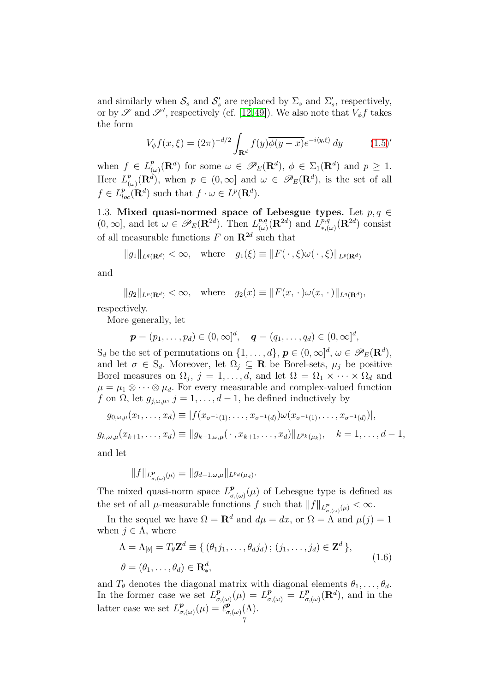and similarly when  $S_s$  and  $S'_s$  are replaced by  $\Sigma_s$  and  $\Sigma'_s$ , respectively, or by  $\mathscr S$  and  $\mathscr S'$ , respectively (cf. [\[12,](#page-35-6)[49\]](#page-37-10)). We also note that  $V_\phi f$  takes the form

$$
V_{\phi}f(x,\xi) = (2\pi)^{-d/2} \int_{\mathbf{R}^d} f(y)\overline{\phi(y-x)} e^{-i\langle y,\xi \rangle} dy \qquad (1.5)'
$$

when  $f \in L^p_{(p)}$  $(\omega)_{(\omega)}^p(\mathbf{R}^d)$  for some  $\omega \in \mathscr{P}_E(\mathbf{R}^d)$ ,  $\phi \in \Sigma_1(\mathbf{R}^d)$  and  $p \geq 1$ . Here  $L^p_{\alpha}$  $(\omega_{\mu})^p(\mathbf{R}^d)$ , when  $p \in (0,\infty]$  and  $\omega \in \mathscr{P}_E(\mathbf{R}^d)$ , is the set of all  $f \in L_{loc}^p(\mathbf{R}^d)$  such that  $f \cdot \omega \in L^p(\mathbf{R}^d)$ .

1.3. Mixed quasi-normed space of Lebesgue types. Let  $p, q \in$  $(0,\infty]$ , and let  $\omega \in \mathscr{P}_E(\mathbf{R}^{2d})$ . Then  $L^{p,q}_{(\omega)}$  $\binom{p,q}{(\omega)}(\mathbf{R}^{2d})$  and  $\widehat{L}_{*,(0)}^{p,q}$  $\overline{r}_{*,(\omega)}^{p,q}(\mathbf{R}^{2d})$  consist of all measurable functions  $F$  on  $\mathbb{R}^{2d}$  such that

$$
||g_1||_{L^q(\mathbf{R}^d)} < \infty, \quad \text{where} \quad g_1(\xi) \equiv ||F(\cdot \xi)\omega(\cdot \xi)||_{L^p(\mathbf{R}^d)}
$$

and

$$
||g_2||_{L^p(\mathbf{R}^d)} < \infty, \quad \text{where} \quad g_2(x) \equiv ||F(x, \cdot)\omega(x, \cdot)||_{L^q(\mathbf{R}^d)},
$$

respectively.

More generally, let

$$
\mathbf{p} = (p_1, \ldots, p_d) \in (0, \infty]^d, \quad \mathbf{q} = (q_1, \ldots, q_d) \in (0, \infty]^d,
$$

 $S_d$  be the set of permutations on  $\{1, \ldots, d\}$ ,  $p \in (0, \infty]^d$ ,  $\omega \in \mathscr{P}_E(\mathbf{R}^d)$ , and let  $\sigma \in S_d$ . Moreover, let  $\Omega_i \subseteq \mathbf{R}$  be Borel-sets,  $\mu_i$  be positive Borel measures on  $\Omega_j$ ,  $j = 1, \ldots, d$ , and let  $\Omega = \Omega_1 \times \cdots \times \Omega_d$  and  $\mu = \mu_1 \otimes \cdots \otimes \mu_d$ . For every measurable and complex-valued function f on  $\Omega$ , let  $g_{i,\omega,\mu}$ ,  $j=1,\ldots,d-1$ , be defined inductively by

$$
g_{0,\omega,\mu}(x_1,\ldots,x_d) \equiv |f(x_{\sigma^{-1}(1)},\ldots,x_{\sigma^{-1}(d)})\omega(x_{\sigma^{-1}(1)},\ldots,x_{\sigma^{-1}(d)})|,
$$

$$
g_{k,\omega,\mu}(x_{k+1},\ldots,x_d) \equiv ||g_{k-1,\omega,\mu}(\,\cdot\,,x_{k+1},\ldots,x_d)||_{L^{p_k}(\mu_k)}, \quad k=1,\ldots,d-1,
$$

and let

$$
||f||_{L^p_{\sigma,(\omega)}(\mu)} \equiv ||g_{d-1,\omega,\mu}||_{L^{p_d}(\mu_d)}.
$$

The mixed quasi-norm space  $L^p_\sigma$  $\sigma_{\sigma(\omega)}^{\mathbf{p}}(\mu)$  of Lebesgue type is defined as the set of all  $\mu$ -measurable functions f such that  $||f||_{L^p_{\sigma, (\omega)}(\mu)} < \infty$ .

In the sequel we have  $\Omega = \mathbf{R}^d$  and  $d\mu = dx$ , or  $\Omega = \Lambda$  and  $\mu(j) = 1$ when  $j \in \Lambda$ , where

<span id="page-6-0"></span>
$$
\Lambda = \Lambda_{[\theta]} = T_{\theta} \mathbf{Z}^{d} \equiv \{ (\theta_{1}j_{1}, \dots, \theta_{d}j_{d}) ; (j_{1}, \dots, j_{d}) \in \mathbf{Z}^{d} \},
$$
  

$$
\theta = (\theta_{1}, \dots, \theta_{d}) \in \mathbf{R}_{*}^{d},
$$
 (1.6)

and  $T_{\theta}$  denotes the diagonal matrix with diagonal elements  $\theta_1, \ldots, \theta_d$ . In the former case we set  $L^p_\sigma$  $\frac{\partial p}{\partial \sigma_j(\omega)}(\mu) = L^{\rho}_{\sigma_j(\omega)} = L^{\rho}_{\sigma}$  $_{\sigma,\left( \omega\right) }^{p}(\mathbf{R}^{d}),$  and in the latter case we set  $L^p_\sigma$  $_{\sigma,\left( \omega\right) }^{\boldsymbol{p}}(\mu)=\hat{\ell}_{\sigma}^{\boldsymbol{p}}% _{\boldsymbol{\sigma}}^{\boldsymbol{\mu}}(\mathcal{V})$  $_{\sigma, (\omega)}^{p}(\Lambda).$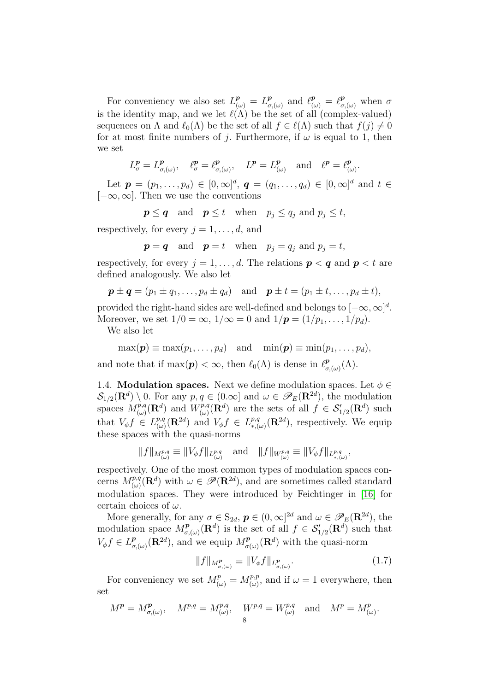For conveniency we also set  $L^p_{(\omega)} = L^p_{\sigma}$  $_{\sigma,\left(\omega\right)}^{p}$  and  $\ell_{\left(\omega\right)}^{p} = \ell_{\sigma,\left(\omega\right)}^{p}$  when  $\sigma$ is the identity map, and we let  $\ell(\Lambda)$  be the set of all (complex-valued) sequences on  $\Lambda$  and  $\ell_0(\Lambda)$  be the set of all  $f \in \ell(\Lambda)$  such that  $f(j) \neq 0$ for at most finite numbers of j. Furthermore, if  $\omega$  is equal to 1, then we set

$$
L^p_{\sigma} = L^p_{\sigma,(\omega)}, \quad \ell^p_{\sigma} = \ell^p_{\sigma,(\omega)}, \quad L^p = L^p_{(\omega)} \quad \text{and} \quad \ell^p = \ell^p_{(\omega)}.
$$

Let  $\mathbf{p} = (p_1, \ldots, p_d) \in [0, \infty]^d$ ,  $\mathbf{q} = (q_1, \ldots, q_d) \in [0, \infty]^d$  and  $t \in$  $[-\infty, \infty]$ . Then we use the conventions

 $p \le q$  and  $p \le t$  when  $p_j \le q_j$  and  $p_j \le t$ ,

respectively, for every  $j = 1, \ldots, d$ , and

$$
p = q
$$
 and  $p = t$  when  $p_j = q_j$  and  $p_j = t$ ,

respectively, for every  $j = 1, \ldots, d$ . The relations  $p < q$  and  $p < t$  are defined analogously. We also let

$$
\mathbf{p} \pm \mathbf{q} = (p_1 \pm q_1, \ldots, p_d \pm q_d)
$$
 and  $\mathbf{p} \pm t = (p_1 \pm t, \ldots, p_d \pm t),$ 

provided the right-hand sides are well-defined and belongs to  $[-\infty, \infty]^d$ . Moreover, we set  $1/0 = \infty$ ,  $1/\infty = 0$  and  $1/p = (1/p_1, \ldots, 1/p_d)$ .

We also let

$$
\max(\boldsymbol{p}) \equiv \max(p_1,\ldots,p_d) \quad \text{and} \quad \min(\boldsymbol{p}) \equiv \min(p_1,\ldots,p_d),
$$

and note that if  $\max(\boldsymbol{p}) < \infty$ , then  $\ell_0(\Lambda)$  is dense in  $\ell_{\sigma}^{\boldsymbol{p}}$  $_{\sigma ,(\omega )}^{ \textbf{\textit{p}}\!\Lambda ).}$ 

1.4. **Modulation spaces.** Next we define modulation spaces. Let  $\phi \in$  $\mathcal{S}_{1/2}(\mathbf{R}^d) \setminus 0$ . For any  $p, q \in (0, \infty]$  and  $\omega \in \mathscr{P}_E(\mathbf{R}^{2d})$ , the modulation spaces  $M^{p,q}_{(\omega)}(\mathbf{R}^d)$  and  $W^{p,q}_{(\omega)}$  $(\omega)_{(\omega)}^{p,q}(\mathbf{R}^d)$  are the sets of all  $f \in \mathcal{S}'_{1/2}(\mathbf{R}^d)$  such that  $V_{\phi}f \in L^{p,q}_{(\omega)}$  $\lim_{(\omega)}^{p,q}(\mathbf{R}^{2d})$  and  $V_{\phi}f \in L^{p,q}_{*,0}$  ${}_{*,(\omega)}^{p,q}(\mathbf{R}^{2d})$ , respectively. We equip these spaces with the quasi-norms

$$
||f||_{M^{p,q}_{(\omega)}} \equiv ||V_{\phi}f||_{L^{p,q}_{(\omega)}} \quad \text{and} \quad ||f||_{W^{p,q}_{(\omega)}} \equiv ||V_{\phi}f||_{L^{p,q}_{*,(\omega)}},
$$

respectively. One of the most common types of modulation spaces concerns  $M^{p,q}_{(\omega)}(\mathbf{R}^d)$  with  $\omega \in \mathscr{P}(\mathbf{R}^{2d})$ , and are sometimes called standard modulation spaces. They were introduced by Feichtinger in [\[16\]](#page-35-3) for certain choices of  $\omega$ .

More generally, for any  $\sigma \in S_{2d}$ ,  $p \in (0,\infty]^{2d}$  and  $\omega \in \mathscr{P}_E(\mathbf{R}^{2d})$ , the modulation space  $M_{\sigma}^{\rho}$  $\mathcal{L}^p_{\sigma,(\omega)}(\mathbf{R}^d)$  is the set of all  $f \in \mathcal{S}'_{1/2}(\mathbf{R}^d)$  such that  $V_{\phi}f \in L^p_{\sigma}$  $\mathcal{L}^{\mathbf{p}}_{\sigma(\omega)}(\mathbf{R}^{2d})$ , and we equip  $M^{\mathbf{p}}_{\sigma(\omega)}(\mathbf{R}^{d})$  with the quasi-norm

<span id="page-7-0"></span>
$$
||f||_{M^p_{\sigma,(\omega)}} \equiv ||V_{\phi}f||_{L^p_{\sigma,(\omega)}}.\tag{1.7}
$$

For conveniency we set  $M^p_{(\omega)} = M^{p,p}_{(\omega)}$ , and if  $\omega = 1$  everywhere, then set

$$
M^{\boldsymbol{p}} = M^{\boldsymbol{p}}_{\sigma,(\omega)}, \quad M^{p,q} = M^{p,q}_{(\omega)}, \quad W^{p,q} = W^{p,q}_{(\omega)} \quad \text{and} \quad M^p = M^p_{(\omega)}.
$$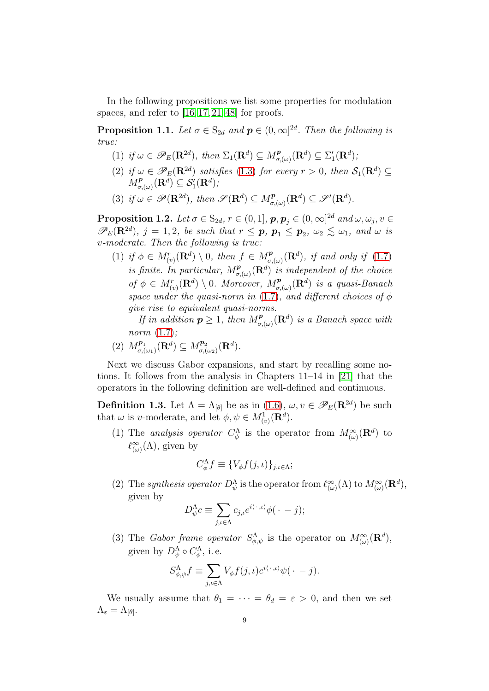In the following propositions we list some properties for modulation spaces, and refer to [\[16,](#page-35-3) [17,](#page-36-14) [21,](#page-36-0) [48\]](#page-37-1) for proofs.

<span id="page-8-0"></span>**Proposition 1.1.** Let  $\sigma \in S_{2d}$  and  $p \in (0,\infty]^{2d}$ . Then the following is true:

- (1) if  $\omega \in \mathscr{P}_E(\mathbf{R}^{2d})$ , then  $\Sigma_1(\mathbf{R}^d) \subseteq M_{\sigma,(\omega)}^{\mathbf{p}}(\mathbf{R}^d) \subseteq \Sigma'_1(\mathbf{R}^d)$ ;
- (2) if  $\omega \in \mathscr{P}_E(\mathbf{R}^{2d})$  satisfies [\(1.3\)](#page-4-3) for every  $r > 0$ , then  $\mathcal{S}_1(\mathbf{R}^d) \subseteq$  $M^{\bm{p}}_{\sigma, (\omega)}(\mathbf{R}^d) \subseteq \mathcal{S}'_1(\mathbf{R}^d),$
- (3) if  $\omega \in \mathscr{P}(\mathbf{R}^{2d})$ , then  $\mathscr{S}(\mathbf{R}^{d}) \subseteq M^{\mathbf{p}}_{\sigma(\omega)}(\mathbf{R}^{d}) \subseteq \mathscr{S}'(\mathbf{R}^{d})$ .

**Proposition 1.2.** Let  $\sigma \in S_{2d}, r \in (0,1],$   $\boldsymbol{p}, \boldsymbol{p}_j \in (0,\infty]^{2d}$  and  $\omega, \omega_j, v \in \mathbb{R}$  $\mathscr{P}_E(\mathbf{R}^{2d}), j = 1, 2$ , be such that  $r \leq p, p_1 \leq p_2, \omega_2 \leq \omega_1$ , and  $\omega$  is v-moderate. Then the following is true:

(1) if  $\phi \in M^r_{(v)}(\mathbf{R}^d) \setminus 0$ , then  $f \in M^p_{\sigma,(\omega)}(\mathbf{R}^d)$ , if and only if [\(1.7\)](#page-7-0) is finite. In particular,  $M^{\textbf{p}}_{\sigma,(\omega)}(\mathbf{R}^d)$  is independent of the choice of  $\phi \in M_{(v)}^r(\mathbf{R}^d) \setminus 0$ . Moreover,  $M_{\sigma,(\omega)}^p(\mathbf{R}^d)$  is a quasi-Banach space under the quasi-norm in [\(1.7\)](#page-7-0), and different choices of  $\phi$ give rise to equivalent quasi-norms.

If in addition  $p \geq 1$ , then  $M^p_{\sigma,(\omega)}(\mathbf{R}^d)$  is a Banach space with norm [\(1.7\)](#page-7-0);

(2)  $M_{\sigma}^{p_1}$  $\mathcal{L}^{p_1}_{\sigma,(\omega_1)}(\mathbf{R}^d) \subseteq M^{p_2}_{\sigma,(\omega_2)}$  $\frac{\boldsymbol{p}_2}{\sigma(\omega_2)}(\mathbf{R}^d).$ 

Next we discuss Gabor expansions, and start by recalling some notions. It follows from the analysis in Chapters 11–14 in [\[21\]](#page-36-0) that the operators in the following definition are well-defined and continuous.

**Definition 1.3.** Let  $\Lambda = \Lambda_{[\theta]}$  be as in [\(1.6\)](#page-6-0),  $\omega, v \in \mathscr{P}_E(\mathbf{R}^{2d})$  be such that  $\omega$  is v-moderate, and let  $\phi, \psi \in M^1_{(v)}(\mathbf{R}^d)$ .

(1) The analysis operator  $C^{\Lambda}_{\phi}$  is the operator from  $M^{\infty}_{(\omega)}(\mathbf{R}^d)$  to  $\ell^{\infty}_{(\omega)}(\Lambda)$ , given by

$$
C_{\phi}^{\Lambda} f \equiv \{V_{\phi} f(j,\iota)\}_{j,\iota \in \Lambda};
$$

(2) The synthesis operator  $D_{\psi}^{\Lambda}$  is the operator from  $\ell_{(\omega)}^{\infty}(\Lambda)$  to  $M_{(\omega)}^{\infty}(\mathbf{R}^d)$ , given by

$$
D_{\psi}^{\Lambda}c \equiv \sum_{j,\iota \in \Lambda} c_{j,\iota} e^{i\langle \cdot \, ,\iota \rangle} \phi(\, \cdot \, -j);
$$

(3) The *Gabor frame operator*  $S^{\Lambda}_{\phi,\psi}$  is the operator on  $M^{\infty}_{(\omega)}(\mathbf{R}^d)$ , given by  $D_{\psi}^{\Lambda} \circ C_{\phi}^{\Lambda}$ , i.e.

$$
S^{\Lambda}_{\phi,\psi}f \equiv \sum_{j,\iota \in \Lambda} V_{\phi}f(j,\iota)e^{i\langle \cdot \, ,\iota \rangle}\psi(\,\cdot\,-j).
$$

We usually assume that  $\theta_1 = \cdots = \theta_d = \varepsilon > 0$ , and then we set  $\Lambda_\varepsilon=\Lambda_{[\theta]}.$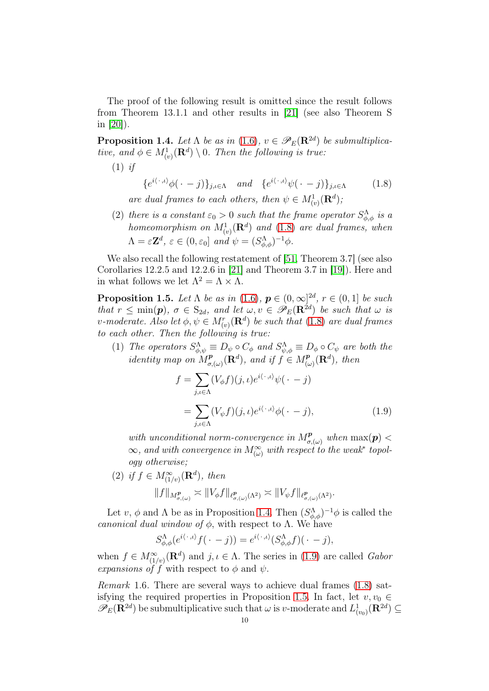The proof of the following result is omitted since the result follows from Theorem 13.1.1 and other results in [\[21\]](#page-36-0) (see also Theorem S in  $|20|$ ).

<span id="page-9-1"></span>**Proposition 1.4.** Let  $\Lambda$  be as in [\(1.6\)](#page-6-0),  $v \in \mathscr{P}_E(\mathbf{R}^{2d})$  be submultiplicative, and  $\phi \in M^1_{(v)}(\mathbf{R}^d) \setminus 0$ . Then the following is true:

 $(1)$  if

<span id="page-9-0"></span>
$$
\{e^{i\langle \cdot \, ,t\rangle}\phi(\cdot - j)\}_{j,\iota \in \Lambda} \quad and \quad \{e^{i\langle \cdot \, ,t\rangle}\psi(\cdot - j)\}_{j,\iota \in \Lambda} \tag{1.8}
$$

are dual frames to each others, then  $\psi \in M^1_{(v)}(\mathbf{R}^d)$ ;

(2) there is a constant  $\varepsilon_0 > 0$  such that the frame operator  $S^{\Lambda}_{\phi, \phi}$  is a homeomorphism on  $M^1_{(v)}(\mathbf{R}^d)$  and  $(1.8)$  are dual frames, when  $\Lambda = \varepsilon \mathbf{Z}^d$ ,  $\varepsilon \in (0, \varepsilon_0]$  and  $\psi = (S^{\Lambda}_{\phi, \phi})^{-1} \phi$ .

We also recall the following restatement of [\[51,](#page-37-8) Theorem 3.7] (see also Corollaries 12.2.5 and 12.2.6 in [\[21\]](#page-36-0) and Theorem 3.7 in [\[19\]](#page-36-12)). Here and in what follows we let  $\Lambda^2 = \Lambda \times \Lambda$ .

<span id="page-9-3"></span>**Proposition 1.5.** Let  $\Lambda$  be as in [\(1.6\)](#page-6-0),  $p \in (0, \infty]^{\{2d\}}$ ,  $r \in (0, 1]$  be such that  $r \leq \min(\mathbf{p}), \sigma \in S_{2d}$ , and let  $\omega, v \in \mathscr{P}_E(\mathbf{R}^{2d})$  be such that  $\omega$  is v-moderate. Also let  $\phi, \psi \in M_{(v)}^r(\mathbf{R}^d)$  be such that  $(1.8)$  are dual frames to each other. Then the following is true:

(1) The operators  $S^{\Lambda}_{\phi,\psi} \equiv D_{\psi} \circ C_{\phi}$  and  $S^{\Lambda}_{\psi,\phi} \equiv D_{\phi} \circ C_{\psi}$  are both the *identity* map on  $M_{\sigma}^{\bf p}$  $\mathcal{L}_{\sigma,(\omega)}^{\mathbf{p}}(\mathbf{R}^d)$ , and if  $f \in M_{(\omega)}^{\mathbf{p}}$  $\binom{p}{(\omega)}(\mathbf{R}^d)$ , then

<span id="page-9-2"></span>
$$
f = \sum_{j,\iota \in \Lambda} (V_{\phi}f)(j,\iota)e^{i\langle \cdot, \iota \rangle} \psi(\cdot - j)
$$
  
= 
$$
\sum_{j,\iota \in \Lambda} (V_{\psi}f)(j,\iota)e^{i\langle \cdot, \iota \rangle} \phi(\cdot - j),
$$
 (1.9)

with unconditional norm-convergence in  $M^{\textbf{p}}_{\sigma,(\omega)}$  when  $\max(\textbf{p})$  <  $\infty$ , and with convergence in  $M_{(\omega)}^{\infty}$  with respect to the weak\* topology otherwise;

(2) if 
$$
f \in M^{\infty}_{(1/v)}(\mathbf{R}^d)
$$
, then  
\n
$$
||f||_{M^{\mathbf{p}}_{\sigma,(\omega)}} \asymp ||V_{\phi}f||_{\ell^{\mathbf{p}}_{\sigma,(\omega)}(\Lambda^2)} \asymp ||V_{\psi}f||_{\ell^{\mathbf{p}}_{\sigma,(\omega)}(\Lambda^2)}.
$$

Let  $v, \phi$  and  $\Lambda$  be as in Proposition [1.4.](#page-9-1) Then  $(S^{\Lambda}_{\phi,\phi})^{-1}\phi$  is called the canonical dual window of  $\phi$ , with respect to  $\Lambda$ . We have

$$
S^{\Lambda}_{\phi,\phi}(e^{i\langle \cdot\,,\iota\rangle}f(\,\cdot\,-j))=e^{i\langle \cdot\,,\iota\rangle}(S^{\Lambda}_{\phi,\phi}f)(\,\cdot\,-j),
$$

when  $f \in M^{\infty}_{(1/v)}(\mathbf{R}^d)$  and  $j, \iota \in \Lambda$ . The series in [\(1.9\)](#page-9-2) are called *Gabor* expansions of f with respect to  $\phi$  and  $\psi$ .

<span id="page-9-4"></span>Remark 1.6. There are several ways to achieve dual frames [\(1.8\)](#page-9-0) sat-isfying the required properties in Proposition [1.5.](#page-9-3) In fact, let  $v, v_0 \in$  $\mathscr{P}_E(\mathbf{R}^{2d})$  be submultiplicative such that  $\omega$  is v-moderate and  $L^1_{(v_0)}(\mathbf{R}^{2d}) \subseteq$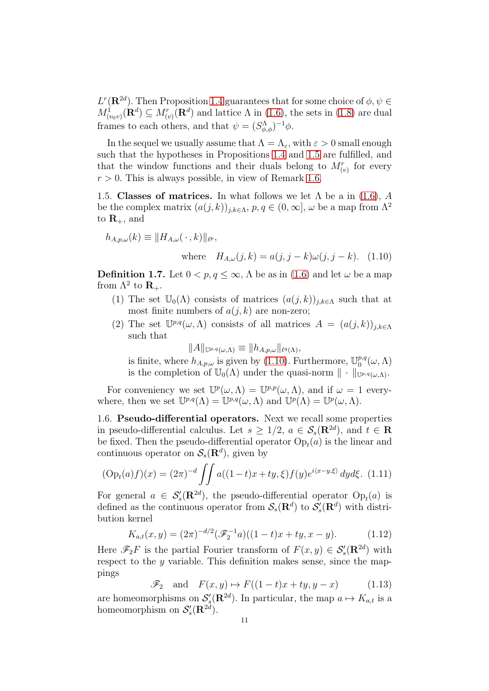$L^r(\mathbf{R}^{2d})$ . Then Proposition [1.4](#page-9-1) guarantees that for some choice of  $\phi, \psi \in$  $M^1_{(v_0v)}(\mathbf{R}^d) \subseteq M^r_{(v)}(\mathbf{R}^d)$  and lattice  $\Lambda$  in [\(1.6\)](#page-6-0), the sets in [\(1.8\)](#page-9-0) are dual frames to each others, and that  $\psi = (S^{\Lambda}_{\phi,\phi})^{-1}\phi$ .

In the sequel we usually assume that  $\Lambda = \Lambda_{\varepsilon}$ , with  $\varepsilon > 0$  small enough such that the hypotheses in Propositions [1.4](#page-9-1) and [1.5](#page-9-3) are fulfilled, and that the window functions and their duals belong to  $M_{(v)}^r$  for every  $r > 0$ . This is always possible, in view of Remark [1.6.](#page-9-4)

1.5. Classes of matrices. In what follows we let  $\Lambda$  be a in [\(1.6\)](#page-6-0), A be the complex matrix  $(a(j,k))_{j,k\in\Lambda}, p,q\in(0,\infty], \omega$  be a map from  $\Lambda^2$ to  $\mathbf{R}_{+}$ , and

$$
h_{A,p,\omega}(k) \equiv ||H_{A,\omega}(\,\cdot\,,k)||_{\ell^p},
$$

<span id="page-10-0"></span>where 
$$
H_{A,\omega}(j,k) = a(j, j - k)\omega(j, j - k)
$$
. (1.10)

<span id="page-10-3"></span>**Definition 1.7.** Let  $0 < p, q \le \infty$ ,  $\Lambda$  be as in [\(1.6\)](#page-6-0) and let  $\omega$  be a map from  $\Lambda^2$  to  $\mathbf{R}_+$ .

- (1) The set  $\mathbb{U}_0(\Lambda)$  consists of matrices  $(a(j,k))_{j,k\in\Lambda}$  such that at most finite numbers of  $a(j, k)$  are non-zero;
- (2) The set  $\mathbb{U}^{p,q}(\omega,\Lambda)$  consists of all matrices  $A = (a(j,k))_{j,k\in\Lambda}$ such that

$$
||A||_{\mathbb{U}^{p,q}(\omega,\Lambda)} \equiv ||h_{A,p,\omega}||_{\ell^q(\Lambda)},
$$

is finite, where  $h_{A,p,\omega}$  is given by [\(1.10\)](#page-10-0). Furthermore,  $\mathbb{U}_0^{p,q}$  $_{0}^{p,q}(\omega,\Lambda)$ is the completion of  $\mathbb{U}_0(\Lambda)$  under the quasi-norm  $\|\cdot\|_{\mathbb{U}^{p,q}(\omega,\Lambda)}$ .

For conveniency we set  $\mathbb{U}^p(\omega,\Lambda) = \mathbb{U}^{p,p}(\omega,\Lambda)$ , and if  $\omega = 1$  everywhere, then we set  $\mathbb{U}^{p,q}(\Lambda) = \mathbb{U}^{p,q}(\omega,\Lambda)$  and  $\mathbb{U}^p(\Lambda) = \mathbb{U}^p(\omega,\Lambda)$ .

1.6. Pseudo-differential operators. Next we recall some properties in pseudo-differential calculus. Let  $s \geq 1/2$ ,  $a \in \mathcal{S}_s(\mathbf{R}^{2d})$ , and  $t \in \mathbf{R}$ be fixed. Then the pseudo-differential operator  $Op<sub>t</sub>(a)$  is the linear and continuous operator on  $\mathcal{S}_s(\mathbf{R}^d)$ , given by

<span id="page-10-1"></span>
$$
(\text{Op}_t(a)f)(x) = (2\pi)^{-d} \iint a((1-t)x + ty, \xi) f(y) e^{i\langle x-y, \xi \rangle} dy d\xi. \tag{1.11}
$$

For general  $a \in S'_{s}(\mathbf{R}^{2d})$ , the pseudo-differential operator  $\text{Op}_{t}(a)$  is defined as the continuous operator from  $\mathcal{S}_s(\mathbf{R}^d)$  to  $\mathcal{S}'_s(\mathbf{R}^d)$  with distribution kernel

<span id="page-10-2"></span>
$$
K_{a,t}(x,y) = (2\pi)^{-d/2} (\mathcal{F}_2^{-1}a)((1-t)x + ty, x - y).
$$
 (1.12)

Here  $\mathscr{F}_2 F$  is the partial Fourier transform of  $F(x, y) \in \mathcal{S}'_s(\mathbf{R}^{2d})$  with respect to the  $y$  variable. This definition makes sense, since the mappings

$$
\mathcal{F}_2 \quad \text{and} \quad F(x, y) \mapsto F((1-t)x + ty, y-x) \tag{1.13}
$$

are homeomorphisms on  $S'_{s}(\mathbf{R}^{2d})$ . In particular, the map  $a \mapsto K_{a,t}$  is a homeomorphism on  $\mathcal{S}'_s(\mathbf{R}^{2d})$ .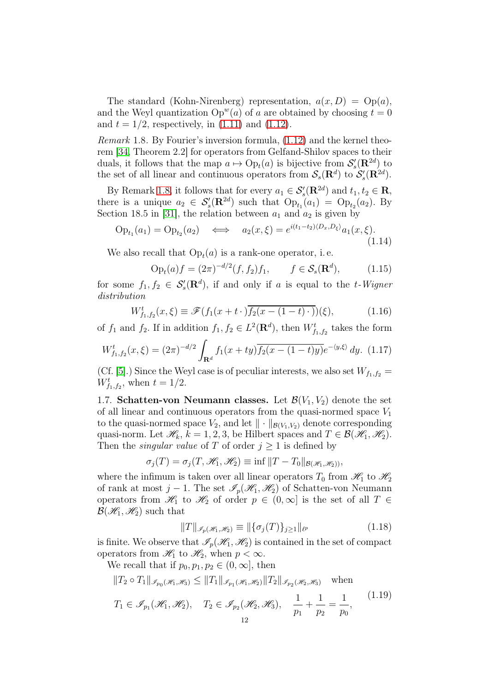The standard (Kohn-Nirenberg) representation,  $a(x, D) = \text{Op}(a)$ , and the Weyl quantization  $Op^{w}(a)$  of a are obtained by choosing  $t = 0$ and  $t = 1/2$ , respectively, in  $(1.11)$  and  $(1.12)$ .

<span id="page-11-0"></span>*Remark* 1.8. By Fourier's inversion formula,  $(1.12)$  and the kernel theorem [\[34,](#page-36-16) Theorem 2.2] for operators from Gelfand-Shilov spaces to their duals, it follows that the map  $a \mapsto \text{Op}_t(a)$  is bijective from  $\mathcal{S}'_s(\mathbf{R}^{2d})$  to the set of all linear and continuous operators from  $\mathcal{S}_s(\mathbf{R}^d)$  to  $\mathcal{S}'_s(\mathbf{R}^{2d})$ .

By Remark [1.8,](#page-11-0) it follows that for every  $a_1 \in \mathcal{S}'_s(\mathbf{R}^{2d})$  and  $t_1, t_2 \in \mathbf{R}$ , there is a unique  $a_2 \in S'_s(\mathbf{R}^{2d})$  such that  $\text{Op}_{t_1}(a_1) = \text{Op}_{t_2}(a_2)$ . By Section 18.5 in [\[31\]](#page-36-1), the relation between  $a_1$  and  $a_2$  is given by

$$
Op_{t_1}(a_1) = Op_{t_2}(a_2) \iff a_2(x,\xi) = e^{i(t_1 - t_2)\langle D_x, D_\xi \rangle} a_1(x,\xi).
$$
\n(1.14)

We also recall that  $Op<sub>t</sub>(a)$  is a rank-one operator, i.e.

$$
Opt(a) f = (2\pi)^{-d/2}(f, f2)f1, \t f \in Ss(Rd), \t (1.15)
$$

for some  $f_1, f_2 \in S'_s(\mathbf{R}^d)$ , if and only if a is equal to the t-Wigner distribution

<span id="page-11-2"></span>
$$
W_{f_1,f_2}^t(x,\xi) \equiv \mathscr{F}(f_1(x+t\cdot)\overline{f_2(x-(1-t)\cdot)})(\xi),\tag{1.16}
$$

of  $f_1$  and  $f_2$ . If in addition  $f_1, f_2 \in L^2(\mathbf{R}^d)$ , then  $W^t_{f_1, f_2}$  takes the form

$$
W_{f_1,f_2}^t(x,\xi) = (2\pi)^{-d/2} \int_{\mathbf{R}^d} f_1(x+ty) \overline{f_2(x-(1-t)y)} e^{-\langle y,\xi \rangle} dy. \tag{1.17}
$$

(Cf. [\[5\]](#page-35-7).) Since the Weyl case is of peculiar interests, we also set  $W_{f_1,f_2} =$  $W_{f_1,f_2}^t$ , when  $t = 1/2$ .

1.7. Schatten-von Neumann classes. Let  $\mathcal{B}(V_1, V_2)$  denote the set of all linear and continuous operators from the quasi-normed space  $V_1$ to the quasi-normed space  $V_2$ , and let  $\|\cdot\|_{\mathcal{B}(V_1,V_2)}$  denote corresponding quasi-norm. Let  $\mathscr{H}_k$ ,  $k = 1, 2, 3$ , be Hilbert spaces and  $T \in \mathcal{B}(\mathscr{H}_1, \mathscr{H}_2)$ . Then the *singular value* of T of order  $j \geq 1$  is defined by

$$
\sigma_j(T) = \sigma_j(T, \mathcal{H}_1, \mathcal{H}_2) \equiv \inf ||T - T_0||_{\mathcal{B}(\mathcal{H}_1, \mathcal{H}_2)},
$$

where the infimum is taken over all linear operators  $T_0$  from  $\mathcal{H}_1$  to  $\mathcal{H}_2$ of rank at most j – 1. The set  $\mathscr{I}_p(\mathscr{H}_1, \mathscr{H}_2)$  of Schatten-von Neumann operators from  $\mathscr{H}_1$  to  $\mathscr{H}_2$  of order  $p \in (0,\infty]$  is the set of all  $T \in$  $\mathcal{B}(\mathcal{H}_1, \mathcal{H}_2)$  such that

$$
||T||_{\mathcal{I}_p(\mathcal{H}_1, \mathcal{H}_2)} \equiv ||\{\sigma_j(T)\}_{j \ge 1}||_{\ell^p}
$$
\n(1.18)

is finite. We observe that  $\mathcal{I}_p(\mathcal{H}_1, \mathcal{H}_2)$  is contained in the set of compact operators from  $\mathcal{H}_1$  to  $\mathcal{H}_2$ , when  $p < \infty$ .

We recall that if  $p_0, p_1, p_2 \in (0, \infty]$ , then

<span id="page-11-1"></span>
$$
||T_2 \circ T_1||_{\mathcal{I}_{p_0}(\mathcal{H}_1, \mathcal{H}_3)} \le ||T_1||_{\mathcal{I}_{p_1}(\mathcal{H}_1, \mathcal{H}_2)} ||T_2||_{\mathcal{I}_{p_2}(\mathcal{H}_2, \mathcal{H}_3)} \quad \text{when}
$$
  

$$
T_1 \in \mathcal{I}_{p_1}(\mathcal{H}_1, \mathcal{H}_2), \quad T_2 \in \mathcal{I}_{p_2}(\mathcal{H}_2, \mathcal{H}_3), \quad \frac{1}{p_1} + \frac{1}{p_2} = \frac{1}{p_0},
$$
(1.19)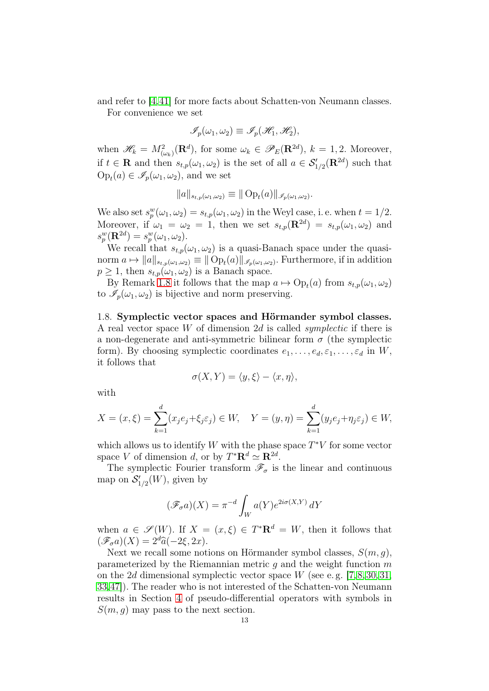and refer to [\[4,](#page-35-8)[41\]](#page-37-11) for more facts about Schatten-von Neumann classes.

For convenience we set

$$
\mathscr{I}_p(\omega_1,\omega_2)\equiv\mathscr{I}_p(\mathscr{H}_1,\mathscr{H}_2),
$$

when  $\mathscr{H}_k = M_{(\omega_k)}^2(\mathbf{R}^d)$ , for some  $\omega_k \in \mathscr{P}_E(\mathbf{R}^{2d})$ ,  $k = 1, 2$ . Moreover, if  $t \in \mathbf{R}$  and then  $s_{t,p}(\omega_1, \omega_2)$  is the set of all  $a \in \mathcal{S}'_{1/2}(\mathbf{R}^{2d})$  such that  $Op_t(a) \in \mathscr{I}_p(\omega_1, \omega_2)$ , and we set

$$
||a||_{s_{t,p}(\omega_1,\omega_2)} \equiv ||\operatorname{Op}_t(a)||_{\mathscr{I}_p(\omega_1,\omega_2)}.
$$

We also set  $s_p^w(\omega_1, \omega_2) = s_{t,p}(\omega_1, \omega_2)$  in the Weyl case, i.e. when  $t = 1/2$ . Moreover, if  $\omega_1 = \omega_2 = 1$ , then we set  $s_{t,p}(\mathbf{R}^{2d}) = s_{t,p}(\omega_1, \omega_2)$  and  $s_p^w(\mathbf{R}^{2d}) = s_p^w(\omega_1, \omega_2).$ 

We recall that  $s_{t,p}(\omega_1, \omega_2)$  is a quasi-Banach space under the quasinorm  $a \mapsto \|a\|_{s_{t,p}(\omega_1,\omega_2)} \equiv \| \text{Op}_t(a) \|_{\mathscr{I}_p(\omega_1,\omega_2)}$ . Furthermore, if in addition  $p \geq 1$ , then  $s_{t,p}(\omega_1, \omega_2)$  is a Banach space.

By Remark [1.8](#page-11-0) it follows that the map  $a \mapsto \text{Op}_t(a)$  from  $s_{t,p}(\omega_1, \omega_2)$ to  $\mathscr{I}_{p}(\omega_1, \omega_2)$  is bijective and norm preserving.

<span id="page-12-0"></span>1.8. Symplectic vector spaces and Hörmander symbol classes. A real vector space W of dimension 2d is called *symplectic* if there is a non-degenerate and anti-symmetric bilinear form  $\sigma$  (the symplectic form). By choosing symplectic coordinates  $e_1, \ldots, e_d, \varepsilon_1, \ldots, \varepsilon_d$  in W, it follows that

$$
\sigma(X, Y) = \langle y, \xi \rangle - \langle x, \eta \rangle,
$$

with

$$
X = (x, \xi) = \sum_{k=1}^{d} (x_j e_j + \xi_j \varepsilon_j) \in W, \quad Y = (y, \eta) = \sum_{k=1}^{d} (y_j e_j + \eta_j \varepsilon_j) \in W,
$$

which allows us to identify W with the phase space  $T^*V$  for some vector space V of dimension d, or by  $T^* \mathbf{R}^d \simeq \mathbf{R}^{2d}$ .

The symplectic Fourier transform  $\mathscr{F}_{\sigma}$  is the linear and continuous map on  $\mathcal{S}'_{1/2}(W)$ , given by

$$
(\mathscr{F}_{\sigma}a)(X) = \pi^{-d} \int_W a(Y) e^{2i\sigma(X,Y)} dY
$$

when  $a \in \mathscr{S}(W)$ . If  $X = (x, \xi) \in T^*{\bf R}^d = W$ , then it follows that  $(\mathscr{F}_{\sigma}a)(X) = 2^d\widehat{a}(-2\xi, 2x).$ 

Next we recall some notions on Hörmander symbol classes,  $S(m, g)$ , parameterized by the Riemannian metric  $q$  and the weight function  $m$ on the 2d dimensional symplectic vector space W (see e.g.  $[7,8,30,31]$  $[7,8,30,31]$  $[7,8,30,31]$  $[7,8,30,31]$ , [33,](#page-36-17)[47\]](#page-37-0)). The reader who is not interested of the Schatten-von Neumann results in Section [4](#page-26-0) of pseudo-differential operators with symbols in  $S(m, q)$  may pass to the next section.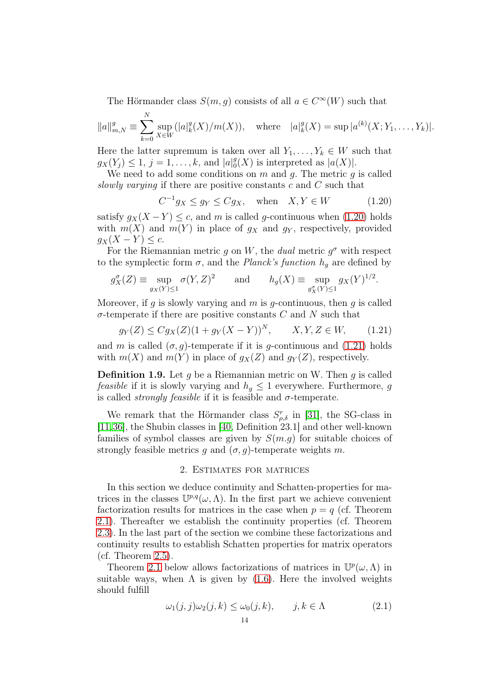The Hörmander class  $S(m, g)$  consists of all  $a \in C^{\infty}(W)$  such that

$$
||a||_{m,N}^g \equiv \sum_{k=0}^N \sup_{X \in W} (|a|_k^g(X)/m(X)), \quad \text{where} \quad |a|_k^g(X) = \sup |a^{(k)}(X; Y_1, \dots, Y_k)|.
$$

Here the latter supremum is taken over all  $Y_1, \ldots, Y_k \in W$  such that  $g_X(Y_j) \leq 1, j = 1, \ldots, k, \text{ and } |a|_0^g$  $\binom{g}{0}(X)$  is interpreted as  $|a(X)|$ .

We need to add some conditions on  $m$  and  $g$ . The metric  $g$  is called slowly varying if there are positive constants  $c$  and  $C$  such that

<span id="page-13-1"></span>
$$
C^{-1}g_X \le g_Y \le Cg_X, \quad \text{when} \quad X, Y \in W \tag{1.20}
$$

satisfy  $g_X(X - Y) \leq c$ , and m is called g-continuous when [\(1.20\)](#page-13-1) holds with  $m(X)$  and  $m(Y)$  in place of  $g_X$  and  $g_Y$ , respectively, provided  $g_X(X - Y) \leq c$ .

For the Riemannian metric g on W, the dual metric  $g^{\sigma}$  with respect to the symplectic form  $\sigma$ , and the *Planck's function*  $h_g$  are defined by

$$
g_X^{\sigma}(Z) \equiv \sup_{g_X(Y) \le 1} \sigma(Y, Z)^2 \quad \text{and} \quad h_g(X) \equiv \sup_{g_X^{\sigma}(Y) \le 1} g_X(Y)^{1/2}.
$$

Moreover, if q is slowly varying and  $m$  is q-continuous, then  $q$  is called  $\sigma$ -temperate if there are positive constants C and N such that

<span id="page-13-2"></span>
$$
g_Y(Z) \le Cg_X(Z)(1 + g_Y(X - Y))^N, \qquad X, Y, Z \in W,\tag{1.21}
$$

and m is called  $(\sigma, q)$ -temperate if it is q-continuous and [\(1.21\)](#page-13-2) holds with  $m(X)$  and  $m(Y)$  in place of  $g_X(Z)$  and  $g_Y(Z)$ , respectively.

**Definition 1.9.** Let q be a Riemannian metric on W. Then q is called *feasible* if it is slowly varying and  $h_g \leq 1$  everywhere. Furthermore, g is called *strongly feasible* if it is feasible and  $\sigma$ -temperate.

We remark that the Hörmander class  $S_{\rho,\delta}^r$  in [\[31\]](#page-36-1), the SG-class in [\[11,](#page-35-10)[36\]](#page-36-18), the Shubin classes in [\[40,](#page-37-12) Definition 23.1] and other well-known families of symbol classes are given by  $S(m,q)$  for suitable choices of strongly feasible metrics g and  $(\sigma, g)$ -temperate weights m.

### 2. Estimates for matrices

<span id="page-13-0"></span>In this section we deduce continuity and Schatten-properties for matrices in the classes  $\mathbb{U}^{p,q}(\omega,\Lambda)$ . In the first part we achieve convenient factorization results for matrices in the case when  $p = q$  (cf. Theorem [2.1\)](#page-14-0). Thereafter we establish the continuity properties (cf. Theorem [2.3\)](#page-16-0). In the last part of the section we combine these factorizations and continuity results to establish Schatten properties for matrix operators  $(cf. Theorem 2.5).$  $(cf. Theorem 2.5).$  $(cf. Theorem 2.5).$ 

Theorem [2.1](#page-14-0) below allows factorizations of matrices in  $\mathbb{U}^p(\omega,\Lambda)$  in suitable ways, when  $\Lambda$  is given by [\(1.6\)](#page-6-0). Here the involved weights should fulfill

<span id="page-13-3"></span>
$$
\omega_1(j,j)\omega_2(j,k) \le \omega_0(j,k), \qquad j,k \in \Lambda \tag{2.1}
$$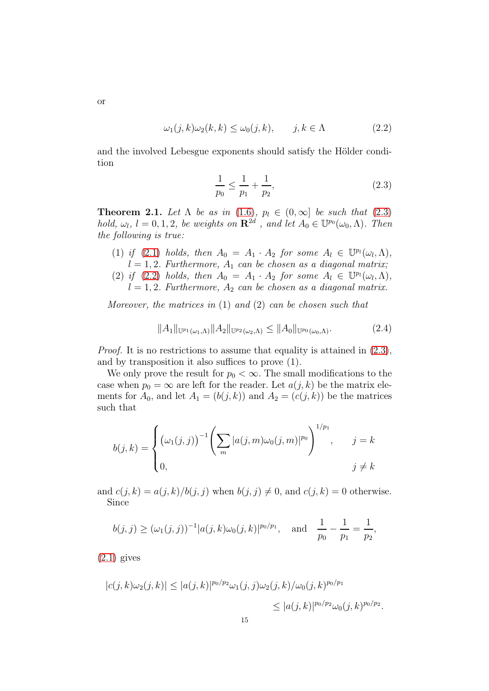$$
\omega_1(j,k)\omega_2(k,k) \le \omega_0(j,k), \qquad j,k \in \Lambda \tag{2.2}
$$

and the involved Lebesgue exponents should satisfy the Hölder condition

<span id="page-14-2"></span><span id="page-14-1"></span>
$$
\frac{1}{p_0} \le \frac{1}{p_1} + \frac{1}{p_2},\tag{2.3}
$$

<span id="page-14-0"></span>**Theorem 2.1.** Let  $\Lambda$  be as in [\(1.6\)](#page-6-0),  $p_l \in (0,\infty]$  be such that [\(2.3\)](#page-14-1) hold,  $\omega_l$ ,  $l = 0, 1, 2$ , be weights on  $\mathbb{R}^{2d}$ , and let  $A_0 \in \mathbb{U}^{p_0}(\omega_0, \Lambda)$ . Then the following is true:

- (1) if [\(2.1\)](#page-13-3) holds, then  $A_0 = A_1 \cdot A_2$  for some  $A_l \in \mathbb{U}^{p_l}(\omega_l, \Lambda)$ ,  $l = 1, 2$ . Furthermore,  $A_1$  can be chosen as a diagonal matrix;
- (2) if [\(2.2\)](#page-14-2) holds, then  $A_0 = A_1 \cdot A_2$  for some  $A_l \in \mathbb{U}^{p_l}(\omega_l, \Lambda)$ ,  $l = 1, 2$ . Furthermore,  $A_2$  can be chosen as a diagonal matrix.

Moreover, the matrices in  $(1)$  and  $(2)$  can be chosen such that

<span id="page-14-3"></span>
$$
||A_1||_{\mathbb{U}^{p_1}(\omega_1,\Lambda)}||A_2||_{\mathbb{U}^{p_2}(\omega_2,\Lambda)} \leq ||A_0||_{\mathbb{U}^{p_0}(\omega_0,\Lambda)}.
$$
\n(2.4)

Proof. It is no restrictions to assume that equality is attained in [\(2.3\)](#page-14-1), and by transposition it also suffices to prove (1).

We only prove the result for  $p_0 < \infty$ . The small modifications to the case when  $p_0 = \infty$  are left for the reader. Let  $a(j, k)$  be the matrix elements for  $A_0$ , and let  $A_1 = (b(j, k))$  and  $A_2 = (c(j, k))$  be the matrices such that

$$
b(j,k) = \begin{cases} (\omega_1(j,j))^{-1} \left( \sum_m |a(j,m)\omega_0(j,m)|^{p_0} \right)^{1/p_1}, & j=k\\ 0, & j \neq k \end{cases}
$$

and  $c(j, k) = a(j, k)/b(j, j)$  when  $b(j, j) \neq 0$ , and  $c(j, k) = 0$  otherwise. Since

$$
b(j, j) \geq (\omega_1(j, j))^{-1} |a(j, k)\omega_0(j, k)|^{p_0/p_1}
$$
, and  $\frac{1}{p_0} - \frac{1}{p_1} = \frac{1}{p_2}$ ,

 $(2.1)$  gives

$$
|c(j,k)\omega_2(j,k)| \le |a(j,k)|^{p_0/p_2} \omega_1(j,j)\omega_2(j,k)/\omega_0(j,k)^{p_0/p_1}
$$
  

$$
\le |a(j,k)|^{p_0/p_2} \omega_0(j,k)^{p_0/p_2}.
$$

or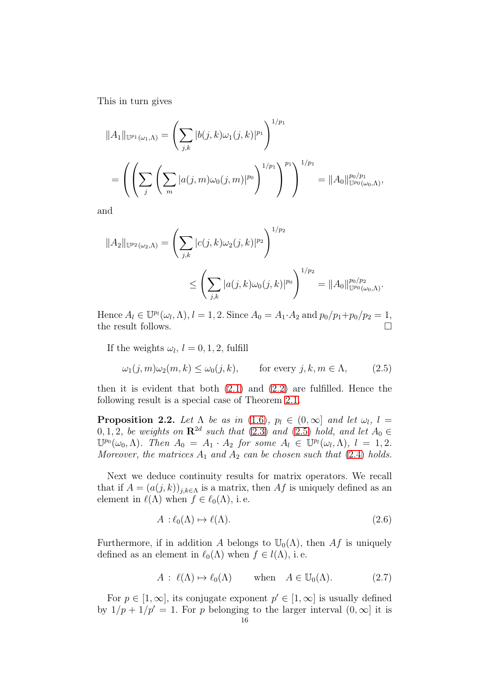This in turn gives

$$
||A_1||_{\mathbb{U}^{p_1}(\omega_1,\Lambda)} = \left(\sum_{j,k} |b(j,k)\omega_1(j,k)|^{p_1}\right)^{1/p_1}
$$
  
= 
$$
\left(\left(\sum_j \left(\sum_m |a(j,m)\omega_0(j,m)|^{p_0}\right)^{1/p_1}\right)^{p_1}\right)^{1/p_1} = ||A_0||_{\mathbb{U}^{p_0}(\omega_0,\Lambda)}^{p_0/p_1},
$$

and

$$
||A_2||_{\mathbb{U}^{p_2}(\omega_2,\Lambda)} = \left(\sum_{j,k} |c(j,k)\omega_2(j,k)|^{p_2}\right)^{1/p_2}
$$
  
 
$$
\leq \left(\sum_{j,k} |a(j,k)\omega_0(j,k)|^{p_0}\right)^{1/p_2} = ||A_0||_{\mathbb{U}^{p_0}(\omega_0,\Lambda)}^{p_0/p_2}.
$$

Hence  $A_l \in \mathbb{U}^{p_l}(\omega_l, \Lambda), l = 1, 2$ . Since  $A_0 = A_1 \cdot A_2$  and  $p_0/p_1 + p_0/p_2 = 1$ , the result follows.  $\hfill \square$ 

If the weights  $\omega_l$ ,  $l = 0, 1, 2$ , fulfill

<span id="page-15-0"></span>
$$
\omega_1(j,m)\omega_2(m,k) \le \omega_0(j,k), \qquad \text{for every } j,k,m \in \Lambda,
$$
 (2.5)

then it is evident that both [\(2.1\)](#page-13-3) and [\(2.2\)](#page-14-2) are fulfilled. Hence the following result is a special case of Theorem [2.1.](#page-14-0)

**Proposition 2.2.** Let  $\Lambda$  be as in [\(1.6\)](#page-6-0),  $p_l \in (0, \infty]$  and let  $\omega_l$ ,  $l =$ 0, 1, 2, be weights on  $\mathbb{R}^{2d}$  such that [\(2.3\)](#page-14-1) and [\(2.5\)](#page-15-0) hold, and let  $A_0 \in$  $\mathbb{U}^{p_0}(\omega_0,\Lambda)$ . Then  $A_0 = A_1 \cdot A_2$  for some  $A_l \in \mathbb{U}^{p_l}(\omega_l,\Lambda)$ ,  $l = 1,2$ . Moreover, the matrices  $A_1$  and  $A_2$  can be chosen such that [\(2.4\)](#page-14-3) holds.

Next we deduce continuity results for matrix operators. We recall that if  $A = (a(j, k))_{j,k \in \Lambda}$  is a matrix, then Af is uniquely defined as an element in  $\ell(\Lambda)$  when  $f \in \ell_0(\Lambda)$ , i.e.

<span id="page-15-1"></span>
$$
A: \ell_0(\Lambda) \mapsto \ell(\Lambda). \tag{2.6}
$$

Furthermore, if in addition A belongs to  $\mathbb{U}_0(\Lambda)$ , then Af is uniquely defined as an element in  $\ell_0(\Lambda)$  when  $f \in l(\Lambda)$ , i.e.

$$
A: \ell(\Lambda) \mapsto \ell_0(\Lambda) \quad \text{when} \quad A \in \mathbb{U}_0(\Lambda). \tag{2.7}
$$

For  $p \in [1,\infty]$ , its conjugate exponent  $p' \in [1,\infty]$  is usually defined by  $1/p + 1/p' = 1$ . For p belonging to the larger interval  $(0, \infty]$  it is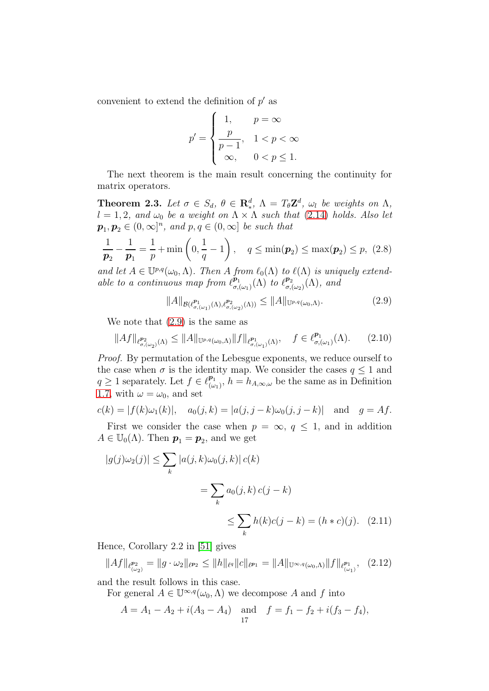convenient to extend the definition of  $p'$  as

$$
p'=\begin{cases} \begin{array}{cc} 1, & p=\infty \\ \frac{p}{p-1}, & 1
$$

The next theorem is the main result concerning the continuity for matrix operators.

<span id="page-16-0"></span>**Theorem 2.3.** Let  $\sigma \in S_d$ ,  $\theta \in \mathbb{R}^d_*$ ,  $\Lambda = T_{\theta} \mathbb{Z}^d$ ,  $\omega_l$  be weights on  $\Lambda$ ,  $l = 1, 2, and \omega_0$  be a weight on  $\Lambda \times \Lambda$  such that [\(2.14\)](#page-18-0) holds. Also let  $p_1, p_2 \in (0, \infty]^n$ , and  $p, q \in (0, \infty]$  be such that

<span id="page-16-3"></span>
$$
\frac{1}{p_2} - \frac{1}{p_1} = \frac{1}{p} + \min\left(0, \frac{1}{q} - 1\right), \quad q \le \min(p_2) \le \max(p_2) \le p, \ (2.8)
$$

and let  $A \in \mathbb{U}^{p,q}(\omega_0, \Lambda)$ . Then A from  $\ell_0(\Lambda)$  to  $\ell(\Lambda)$  is uniquely extendable to a continuous map from  $\ell_{\sigma}^{\mathbf{p}_1}$ σ,(ω1) (Λ) to ℓ p2  $_{\sigma ,(\omega _{2})}^{p_{2}}(\Lambda ),$  and

<span id="page-16-1"></span>
$$
||A||_{\mathcal{B}(\ell^{p_1}_{\sigma,(\omega_1)}(\Lambda),\ell^{p_2}_{\sigma,(\omega_2)}(\Lambda))} \leq ||A||_{\mathbb{U}^{p,q}(\omega_0,\Lambda)}.
$$
\n(2.9)

We note that [\(2.9\)](#page-16-1) is the same as

$$
||Af||_{\ell^{p_2}_{\sigma,(\omega_2)}(\Lambda)} \leq ||A||_{\mathbb{U}^{p,q}(\omega_0,\Lambda)} ||f||_{\ell^{p_1}_{\sigma,(\omega_1)}(\Lambda)}, \quad f \in \ell^{p_1}_{\sigma,(\omega_1)}(\Lambda). \tag{2.10}
$$

Proof. By permutation of the Lebesgue exponents, we reduce ourself to the case when  $\sigma$  is the identity map. We consider the cases  $q \leq 1$  and  $q \geq 1$  separately. Let  $f \in \ell_{\omega}^{p_1}$  $\mathcal{P}_{(\omega_1)}^{\mathbf{p}_1}$ ,  $h = h_{A,\infty,\omega}$  be the same as in Definition [1.7,](#page-10-3) with  $\omega = \omega_0$ , and set

$$
c(k) = |f(k)\omega_1(k)|
$$
,  $a_0(j,k) = |a(j, j - k)\omega_0(j, j - k)|$  and  $g = Af$ .

First we consider the case when  $p = \infty$ ,  $q \leq 1$ , and in addition  $A \in \mathbb{U}_0(\Lambda)$ . Then  $p_1 = p_2$ , and we get

$$
|g(j)\omega_2(j)| \le \sum_k |a(j,k)\omega_0(j,k)| c(k)
$$

$$
= \sum_k a_0(j,k) c(j-k)
$$

$$
\le \sum_k h(k) c(j-k) = (h * c)(j). \quad (2.11)
$$

Hence, Corollary 2.2 in [\[51\]](#page-37-8) gives

$$
||Af||_{\ell_{(\omega_2)}^{p_2}} = ||g \cdot \omega_2||_{\ell^{p_2}} \le ||h||_{\ell^{q}} ||c||_{\ell^{p_1}} = ||A||_{\mathbb{U}^{\infty,q}(\omega_0,\Lambda)} ||f||_{\ell_{(\omega_1)}^{p_1}}, \quad (2.12)
$$

and the result follows in this case.

For general  $A \in \mathbb{U}^{\infty,q}(\omega_0,\Lambda)$  we decompose A and f into

<span id="page-16-2"></span>
$$
A = A_1 - A_2 + i(A_3 - A_4) \text{ and } f = f_1 - f_2 + i(f_3 - f_4),
$$
  
17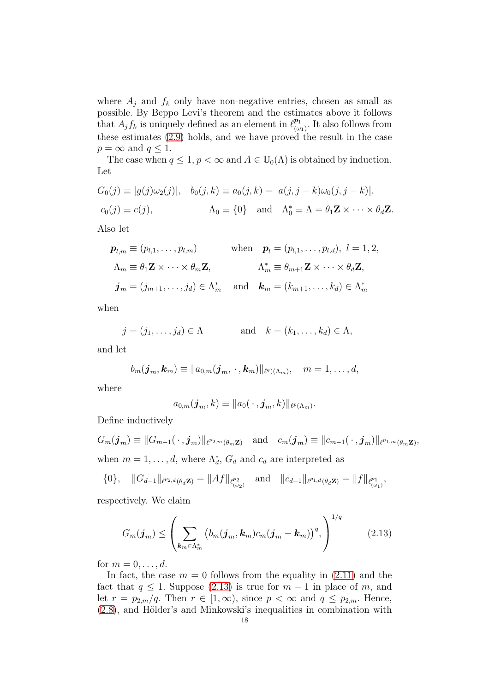where  $A_j$  and  $f_k$  only have non-negative entries, chosen as small as possible. By Beppo Levi's theorem and the estimates above it follows that  $A_j f_k$  is uniquely defined as an element in  $\ell_{\omega}^{p_1}$  $\frac{p_1}{(\omega_1)}$ . It also follows from these estimates [\(2.9\)](#page-16-1) holds, and we have proved the result in the case  $p = \infty$  and  $q \leq 1$ .

The case when  $q \leq 1$ ,  $p < \infty$  and  $A \in U_0(\Lambda)$  is obtained by induction. Let

$$
G_0(j) \equiv |g(j)\omega_2(j)|, \quad b_0(j,k) \equiv a_0(j,k) = |a(j,j-k)\omega_0(j,j-k)|,
$$
  

$$
c_0(j) \equiv c(j), \qquad \qquad \Lambda_0 \equiv \{0\} \quad \text{and} \quad \Lambda_0^* \equiv \Lambda = \theta_1 \mathbf{Z} \times \cdots \times \theta_d \mathbf{Z}.
$$

Also let

$$
\mathbf{p}_{l,m} \equiv (p_{l,1}, \dots, p_{l,m}) \quad \text{when} \quad \mathbf{p}_l = (p_{l,1}, \dots, p_{l,d}), \ l = 1, 2,
$$
\n
$$
\Lambda_m \equiv \theta_1 \mathbf{Z} \times \dots \times \theta_m \mathbf{Z}, \qquad \Lambda_m^* \equiv \theta_{m+1} \mathbf{Z} \times \dots \times \theta_d \mathbf{Z},
$$
\n
$$
\mathbf{j}_m = (j_{m+1}, \dots, j_d) \in \Lambda_m^* \quad \text{and} \quad \mathbf{k}_m = (k_{m+1}, \dots, k_d) \in \Lambda_m^*
$$

when

$$
j = (j_1, ..., j_d) \in \Lambda
$$
 and  $k = (k_1, ..., k_d) \in \Lambda$ ,

and let

$$
b_m(\boldsymbol{j}_m,\boldsymbol{k}_m)\equiv ||a_{0,m}(\boldsymbol{j}_m,\cdot,\boldsymbol{k}_m)||_{\ell^q)(\Lambda_m)}, \quad m=1,\ldots,d,
$$

where

$$
a_{0,m}(\boldsymbol{j}_m,k)\equiv ||a_0(\,\cdot\,,\boldsymbol{j}_m,k)||_{\ell^p(\Lambda_m)}.
$$

Define inductively

 $G_m(\boldsymbol{j}_m)\equiv \|G_{m-1}(\,\cdot\,, \boldsymbol{j}_m)\|_{\ell^{p_{2,m}}(\theta_m\mathbf{Z})}\quad \text{and}\quad c_m(\boldsymbol{j}_m)\equiv \|c_{m-1}(\,\cdot\,, \boldsymbol{j}_m)\|_{\ell^{p_{1,m}}(\theta_m\mathbf{Z})},$ when  $m = 1, \ldots, d$ , where  $\Lambda_d^*$ ,  $G_d$  and  $c_d$  are interpreted as

$$
\{0\}, \quad ||G_{d-1}||_{\ell^{p_{2,d}}(\theta_d \mathbf{Z})} = ||Af||_{\ell^{p_2}_{(\omega_2)}} \quad \text{and} \quad ||c_{d-1}||_{\ell^{p_{1,d}}(\theta_d \mathbf{Z})} = ||f||_{\ell^{p_1}_{(\omega_1)}},
$$

respectively. We claim

<span id="page-17-0"></span>
$$
G_m(\boldsymbol{j}_m) \leq \left(\sum_{\boldsymbol{k}_m \in \Lambda_m^*} \left(b_m(\boldsymbol{j}_m, \boldsymbol{k}_m) c_m(\boldsymbol{j}_m - \boldsymbol{k}_m)\right)^q, \right)^{1/q} \tag{2.13}
$$

for  $m = 0, \ldots, d$ .

In fact, the case  $m = 0$  follows from the equality in  $(2.11)$  and the fact that  $q \leq 1$ . Suppose [\(2.13\)](#page-17-0) is true for  $m-1$  in place of m, and let  $r = p_{2,m}/q$ . Then  $r \in [1,\infty)$ , since  $p < \infty$  and  $q \leq p_{2,m}$ . Hence, [\(2.8\)](#page-16-3), and Hölder's and Minkowski's inequalities in combination with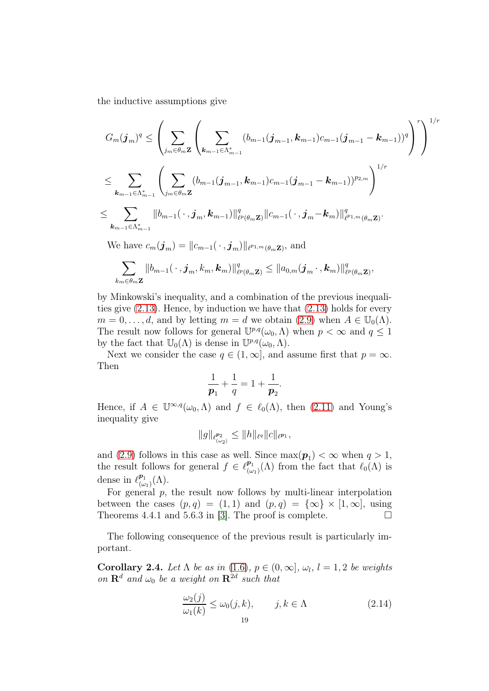the inductive assumptions give

$$
G_m(\boldsymbol{j}_m)^q \leq \left(\sum_{j_m \in \theta_m \mathbf{Z}} \left( \sum_{\boldsymbol{k}_{m-1} \in \Lambda_{m-1}^*} (b_{m-1}(\boldsymbol{j}_{m-1}, \boldsymbol{k}_{m-1}) c_{m-1}(\boldsymbol{j}_{m-1} - \boldsymbol{k}_{m-1}))^q \right)^r \right)^{1/r} \\ \leq \sum_{\boldsymbol{k}_{m-1} \in \Lambda_{m-1}^*} \left( \sum_{j_m \in \theta_m \mathbf{Z}} (b_{m-1}(\boldsymbol{j}_{m-1}, \boldsymbol{k}_{m-1}) c_{m-1}(\boldsymbol{j}_{m-1} - \boldsymbol{k}_{m-1}))^{p_{2,m}} \right)^{1/r} \\ \leq \sum_{\boldsymbol{k}_{m-1} \in \Lambda_{m-1}^*} \|b_{m-1}(\,\cdot\,, \boldsymbol{j}_m, \boldsymbol{k}_{m-1})\|_{\ell^p(\theta_m \mathbf{Z})}^q \|c_{m-1}(\,\cdot\,, \boldsymbol{j}_m - \boldsymbol{k}_m)\|_{\ell^{p_{1,m}}(\theta_m \mathbf{Z})}^q.
$$

We have  $c_m(\boldsymbol{j}_m) = ||c_{m-1}(\cdot, \boldsymbol{j}_m)||_{\ell^{p_{1,m}}(\theta_m\mathbf{Z})}$ , and

$$
\sum_{k_m\in\theta_m\mathbf{Z}}\|b_{m-1}(\,\cdot\,,\boldsymbol{j}_m,k_m,\boldsymbol{k}_m)\|_{\ell^p(\theta_m\mathbf{Z})}^q\le\|a_{0,m}(\boldsymbol{j}_m\,\cdot\,,\boldsymbol{k}_m)\|_{\ell^p(\theta_m\mathbf{Z})}^q,
$$

by Minkowski's inequality, and a combination of the previous inequalities give [\(2.13\)](#page-17-0). Hence, by induction we have that [\(2.13\)](#page-17-0) holds for every  $m = 0, \ldots, d$ , and by letting  $m = d$  we obtain [\(2.9\)](#page-16-1) when  $A \in \mathbb{U}_0(\Lambda)$ . The result now follows for general  $\mathbb{U}^{p,q}(\omega_0,\Lambda)$  when  $p < \infty$  and  $q \leq 1$ by the fact that  $\mathbb{U}_0(\Lambda)$  is dense in  $\mathbb{U}^{p,q}(\omega_0,\Lambda)$ .

Next we consider the case  $q \in (1, \infty]$ , and assume first that  $p = \infty$ . Then

$$
\frac{1}{p_1} + \frac{1}{q} = 1 + \frac{1}{p_2}.
$$

Hence, if  $A \in \mathbb{U}^{\infty,q}(\omega_0,\Lambda)$  and  $f \in \ell_0(\Lambda)$ , then [\(2.11\)](#page-16-2) and Young's inequality give

$$
||g||_{\ell^{p_2}_{(\omega_2)}} \leq ||h||_{\ell^q} ||c||_{\ell^{p_1}},
$$

and [\(2.9\)](#page-16-1) follows in this case as well. Since  $\max(\mathbf{p}_1) < \infty$  when  $q > 1$ , the result follows for general  $f \in \ell_{\omega}^{p_1}$  $\ell_{(\omega_1)}^{p_1}(\Lambda)$  from the fact that  $\ell_0(\Lambda)$  is dense in  $\ell^{p_1}_{\mu}$  $\frac{\boldsymbol{p}_1}{(\omega_1)}(\Lambda).$ 

For general  $p$ , the result now follows by multi-linear interpolation between the cases  $(p, q) = (1, 1)$  and  $(p, q) = {\infty} \times [1, \infty]$ , using Theorems 4.4.1 and 5.6.3 in [\[3\]](#page-35-11). The proof is complete.  $\Box$ 

The following consequence of the previous result is particularly important.

**Corollary 2.4.** Let  $\Lambda$  be as in [\(1.6\)](#page-6-0),  $p \in (0, \infty]$ ,  $\omega_l$ ,  $l = 1, 2$  be weights on  $\mathbf{R}^d$  and  $\omega_0$  be a weight on  $\mathbf{R}^{2d}$  such that

<span id="page-18-0"></span>
$$
\frac{\omega_2(j)}{\omega_1(k)} \le \omega_0(j,k), \qquad j,k \in \Lambda \tag{2.14}
$$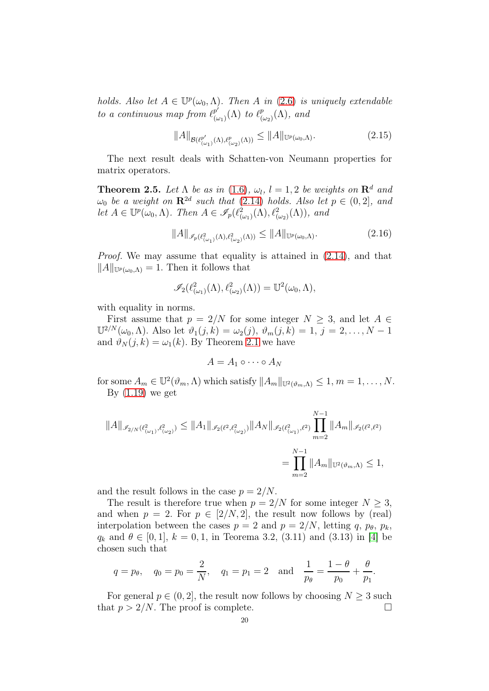holds. Also let  $A \in \mathbb{U}^p(\omega_0, \Lambda)$ . Then A in [\(2.6\)](#page-15-1) is uniquely extendable to a continuous map from  $\ell_{\omega}^{p'}$  $_{(\omega_{1})}^{p^{\prime}}(\Lambda)$  to  $\ell_{(\alpha}^{p}% (\theta_{\alpha\beta})}^{\left( \gamma\right) }(\theta_{\alpha\beta})$  $^p_{(\omega_2)}(\Lambda)$ , and

$$
||A||_{\mathcal{B}(\ell^{p'}_{(\omega_1)}(\Lambda),\ell^p_{(\omega_2)}(\Lambda))} \leq ||A||_{\mathbb{U}^p(\omega_0,\Lambda)}.
$$
\n(2.15)

The next result deals with Schatten-von Neumann properties for matrix operators.

<span id="page-19-0"></span>**Theorem 2.5.** Let  $\Lambda$  be as in [\(1.6\)](#page-6-0),  $\omega_l$ ,  $l = 1, 2$  be weights on  $\mathbb{R}^d$  and  $\omega_0$  be a weight on  $\mathbb{R}^{2d}$  such that [\(2.14\)](#page-18-0) holds. Also let  $p \in (0,2]$ , and let  $A \in \mathbb{U}^p(\omega_0, \Lambda)$ . Then  $A \in \mathscr{I}_p(\ell^2_{(\omega_1)}(\Lambda), \ell^2_{(\omega_2)}(\Lambda))$ , and

$$
||A||_{\mathscr{I}_p(\ell^2_{(\omega_1)}(\Lambda),\ell^2_{(\omega_2)}(\Lambda))} \leq ||A||_{\mathbb{U}^p(\omega_0,\Lambda)}.
$$
\n(2.16)

Proof. We may assume that equality is attained in [\(2.14\)](#page-18-0), and that  $||A||_{\mathbb{U}^p(\omega_0,\Lambda)}=1.$  Then it follows that

$$
\mathscr{I}_2(\ell^2_{(\omega_1)}(\Lambda),\ell^2_{(\omega_2)}(\Lambda))=\mathbb{U}^2(\omega_0,\Lambda),
$$

with equality in norms.

First assume that  $p = 2/N$  for some integer  $N \geq 3$ , and let  $A \in$  $\mathbb{U}^{2/N}(\omega_0,\Lambda)$ . Also let  $\vartheta_1(j,k) = \omega_2(j), \, \vartheta_m(j,k) = 1, j = 2, \ldots, N-1$ and  $\vartheta_N(j,k) = \omega_1(k)$ . By Theorem [2.1](#page-14-0) we have

$$
A=A_1\circ\cdots\circ A_N
$$

for some  $A_m \in \mathbb{U}^2(\vartheta_m, \Lambda)$  which satisfy  $||A_m||_{\mathbb{U}^2(\vartheta_m, \Lambda)} \leq 1, m = 1, \ldots, N$ . By  $(1.19)$  we get

$$
||A||_{\mathscr{I}_{2/N}(\ell^2_{(\omega_1)},\ell^2_{(\omega_2)})}\leq ||A_1||_{\mathscr{I}_2(\ell^2,\ell^2_{(\omega_2)})}||A_N||_{\mathscr{I}_2(\ell^2_{(\omega_1)},\ell^2)}\prod_{m=2}^{N-1}||A_m||_{\mathscr{I}_2(\ell^2,\ell^2)}\newline =\prod_{m=2}^{N-1}||A_m||_{\mathbb{U}^2(\vartheta_m,\Lambda)}\leq 1,
$$

and the result follows in the case  $p = 2/N$ .

The result is therefore true when  $p = 2/N$  for some integer  $N \geq 3$ , and when  $p = 2$ . For  $p \in [2/N, 2]$ , the result now follows by (real) interpolation between the cases  $p = 2$  and  $p = 2/N$ , letting q,  $p_{\theta}$ ,  $p_k$ ,  $q_k$  and  $\theta \in [0, 1], k = 0, 1$ , in Teorema 3.2, (3.11) and (3.13) in [\[4\]](#page-35-8) be chosen such that

$$
q = p_{\theta}
$$
,  $q_0 = p_0 = \frac{2}{N}$ ,  $q_1 = p_1 = 2$  and  $\frac{1}{p_{\theta}} = \frac{1 - \theta}{p_0} + \frac{\theta}{p_1}$ .

For general  $p \in (0, 2]$ , the result now follows by choosing  $N \geq 3$  such that  $p > 2/N$ . The proof is complete.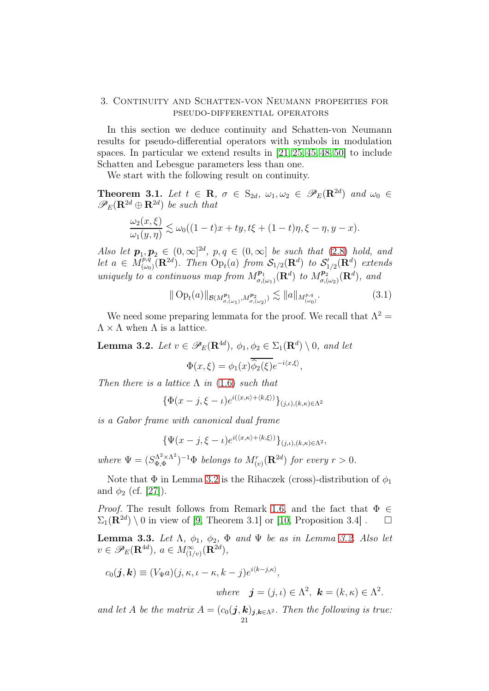### <span id="page-20-0"></span>3. Continuity and Schatten-von Neumann properties for pseudo-differential operators

In this section we deduce continuity and Schatten-von Neumann results for pseudo-differential operators with symbols in modulation spaces. In particular we extend results in [\[21,](#page-36-0) [25,](#page-36-4) [45,](#page-37-3) [48,](#page-37-1) [50\]](#page-37-5) to include Schatten and Lebesgue parameters less than one.

We start with the following result on continuity.

<span id="page-20-1"></span>**Theorem 3.1.** Let  $t \in \mathbb{R}$ ,  $\sigma \in S_{2d}$ ,  $\omega_1, \omega_2 \in \mathscr{P}_E(\mathbb{R}^{2d})$  and  $\omega_0 \in \mathbb{R}$  $\mathscr{P}_E(\mathbf{R}^{2d} \oplus \mathbf{R}^{2d})$  be such that

$$
\frac{\omega_2(x,\xi)}{\omega_1(y,\eta)} \lesssim \omega_0((1-t)x+ty,t\xi+(1-t)\eta,\xi-\eta,y-x).
$$

Also let  $p_1, p_2 \in (0, \infty]^{2d}$ ,  $p, q \in (0, \infty]$  be such that  $(2.8)$  hold, and let  $a \in M^{p,q}_{(a)}$  $(\widetilde{C}_{(\omega_0)}({\bf R}^{2d})$ . Then  ${\rm Op}_t(a)$  from  $\mathcal{S}_{1/2}({\bf R}^d)$  to  $\mathcal{S}'_{1/2}({\bf R}^d)$  extends uniquely to a continuous map from  $M_{\sigma}^{p_1}$  $\mathcal{L}_{\sigma,(\omega_1)}^{p_1}(\mathbf{R}^d)$  to  $M_{\sigma,(\omega_1)}^{p_2}$  $\int_{\sigma,(\omega_2)}^{p_2}(\mathbf{R}^d)$ , and

<span id="page-20-4"></span>
$$
\|\operatorname{Op}_t(a)\|_{\mathcal{B}(M^{p_1}_{\sigma,(\omega_1)},M^{p_2}_{\sigma,(\omega_2)})} \lesssim \|a\|_{M^{p,q}_{(\omega_0)}}.\tag{3.1}
$$

We need some preparing lemmata for the proof. We recall that  $\Lambda^2 =$  $\Lambda \times \Lambda$  when  $\Lambda$  is a lattice.

<span id="page-20-2"></span>**Lemma 3.2.** Let  $v \in \mathscr{P}_E(\mathbf{R}^{4d})$ ,  $\phi_1, \phi_2 \in \Sigma_1(\mathbf{R}^d) \setminus 0$ , and let

$$
\Phi(x,\xi) = \phi_1(x)\overline{\hat{\phi}_2(\xi)}e^{-i\langle x,\xi\rangle},
$$

Then there is a lattice  $\Lambda$  in [\(1.6\)](#page-6-0) such that

$$
\{\Phi(x-j,\xi-\iota)e^{i(\langle x,\kappa\rangle+\langle k,\xi\rangle)}\}_{(j,\iota),(k,\kappa)\in\Lambda^2}
$$

is a Gabor frame with canonical dual frame

$$
\{\Psi(x-j,\xi-\iota)e^{i(\langle x,\kappa\rangle+\langle k,\xi\rangle)}\}_{(j,\iota),(k,\kappa)\in\Lambda^2},
$$

where  $\Psi = (S_{\Phi,\Phi}^{\Lambda^2 \times \Lambda^2})$  $\int_{\Phi,\Phi}^{\Lambda^2\times\Lambda^2})^{-1}\Phi$  belongs to  $M_{(v)}^r(\mathbf{R}^{2d})$  for every  $r>0.1$ 

Note that  $\Phi$  in Lemma [3.2](#page-20-2) is the Rihaczek (cross)-distribution of  $\phi_1$ and  $\phi_2$  (cf. [\[27\]](#page-36-11)).

*Proof.* The result follows from Remark [1.6,](#page-9-4) and the fact that  $\Phi \in$  $\Sigma_1(\mathbf{R}^{2d}) \setminus 0$  in view of [\[9,](#page-35-12) Theorem 3.1] or [\[10,](#page-35-13) Proposition 3.4].  $\Box$ 

<span id="page-20-3"></span>Lemma 3.3. Let  $\Lambda$ ,  $\phi_1$ ,  $\phi_2$ ,  $\Phi$  and  $\Psi$  be as in Lemma [3.2.](#page-20-2) Also let  $v \in \mathscr{P}_E(\mathbf{R}^{4d}), a \in M^{\infty}_{(1/v)}(\mathbf{R}^{2d}),$ 

$$
c_0(\mathbf{j}, \mathbf{k}) \equiv (V_{\Psi}a)(j, \kappa, \iota - \kappa, k - j)e^{i\langle k - j, \kappa \rangle},
$$
  
where  $\mathbf{j} = (j, \iota) \in \Lambda^2$ ,  $\mathbf{k} = (k, \kappa) \in \Lambda^2$ .

and let A be the matrix  $A = (c_0(j, k))_{j,k \in \Lambda^2}$ . Then the following is true: 21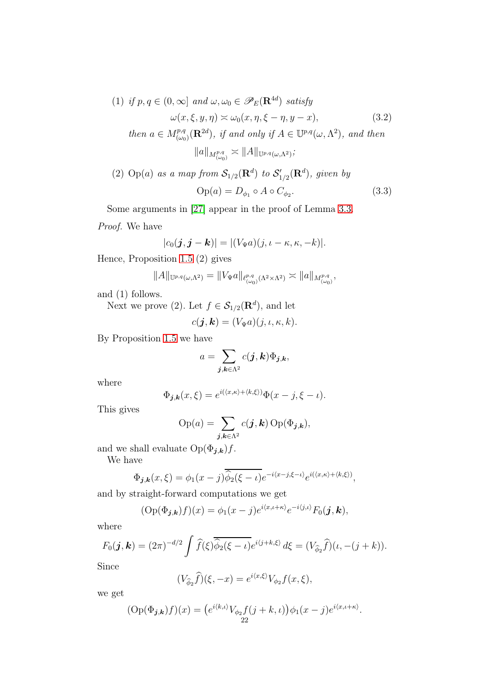<span id="page-21-0"></span>(1) if 
$$
p, q \in (0, \infty]
$$
 and  $\omega, \omega_0 \in \mathscr{P}_E(\mathbf{R}^{4d})$  satisfy  
\n
$$
\omega(x, \xi, y, \eta) \approx \omega_0(x, \eta, \xi - \eta, y - x),
$$
\n
$$
\text{then } a \in M^{p,q}_{(\omega_0)}(\mathbf{R}^{2d}), \text{ if and only if } A \in \mathbb{U}^{p,q}(\omega, \Lambda^2), \text{ and then}
$$
\n
$$
\|a\|_{M^{p,q}_{(\omega_0)}} \approx \|A\|_{\mathbb{U}^{p,q}(\omega, \Lambda^2)};
$$
\n(3.2)

(2) Op(a) as a map from 
$$
\mathcal{S}_{1/2}(\mathbf{R}^d)
$$
 to  $\mathcal{S}'_{1/2}(\mathbf{R}^d)$ , given by  
\n
$$
Op(a) = D_{\phi_1} \circ A \circ C_{\phi_2}.
$$
\n(3.3)

Some arguments in [\[27\]](#page-36-11) appear in the proof of Lemma [3.3.](#page-20-3)

Proof. We have

<span id="page-21-1"></span>
$$
|c_0(\boldsymbol{j},\boldsymbol{j}-\boldsymbol{k})| = |(V_{\Psi}a)(j,\iota-\kappa,\kappa,-k)|.
$$

Hence, Proposition [1.5](#page-9-3) (2) gives

$$
||A||_{\mathbb{U}^{p,q}(\omega,\Lambda^2)}=||V_{\Psi}a||_{\ell^{p,q}_{(\omega_0)}(\Lambda^2\times\Lambda^2)}\asymp ||a||_{M^{p,q}_{(\omega_0)}},
$$

and (1) follows.

Next we prove (2). Let  $f \in \mathcal{S}_{1/2}(\mathbf{R}^d)$ , and let

$$
c(\mathbf{j},\mathbf{k})=(V_{\Psi}a)(j,\iota,\kappa,k).
$$

By Proposition [1.5](#page-9-3) we have

$$
a=\sum_{\boldsymbol{j},\boldsymbol{k}\in\Lambda^2}c(\boldsymbol{j},\boldsymbol{k})\Phi_{\boldsymbol{j},\boldsymbol{k}},
$$

where

$$
\Phi_{\boldsymbol{j},\boldsymbol{k}}(x,\xi) = e^{i(\langle x,\kappa\rangle + \langle k,\xi\rangle)} \Phi(x-j,\xi-\iota).
$$

This gives

$$
\text{Op}(a) = \sum_{\boldsymbol{j},\boldsymbol{k}\in\Lambda^2} c(\boldsymbol{j},\boldsymbol{k}) \,\text{Op}(\Phi_{\boldsymbol{j},\boldsymbol{k}}),
$$

and we shall evaluate  $\operatorname{Op}(\Phi_{\pmb{j},\pmb{k}})f.$ 

We have

$$
\Phi_{\boldsymbol{j},\boldsymbol{k}}(x,\xi) = \phi_1(x-j)\overline{\hat{\phi}_2(\xi-\iota)}e^{-i\langle x-j,\xi-\iota\rangle}e^{i(\langle x,\kappa\rangle+\langle k,\xi\rangle)},
$$

and by straight-forward computations we get

$$
(\mathrm{Op}(\Phi_{\boldsymbol{j},\boldsymbol{k}})f)(x)=\phi_1(x-j)e^{i\langle x,\iota+\kappa\rangle}e^{-i\langle j,\iota\rangle}F_0(\boldsymbol{j},\boldsymbol{k}),
$$

where

$$
F_0(\boldsymbol{j},\boldsymbol{k})=(2\pi)^{-d/2}\int \widehat{f}(\xi)\overline{\widehat{\phi}_2(\xi-\iota)}e^{i\langle j+k,\xi\rangle}\,d\xi=(V_{\widehat{\phi}_2}\widehat{f})(\iota,-(j+k)).
$$

Since

$$
(V_{\widehat{\phi}_2}\widehat{f})(\xi, -x) = e^{i\langle x,\xi\rangle}V_{\phi_2}f(x,\xi),
$$

we get

$$
(\text{Op}(\Phi_{\bm{j},\bm{k}})f)(x) = (e^{i\langle k,\iota\rangle}V_{\phi_2}f(j+k,\iota))\phi_1(x-j)e^{i\langle x,\iota+\kappa\rangle}.
$$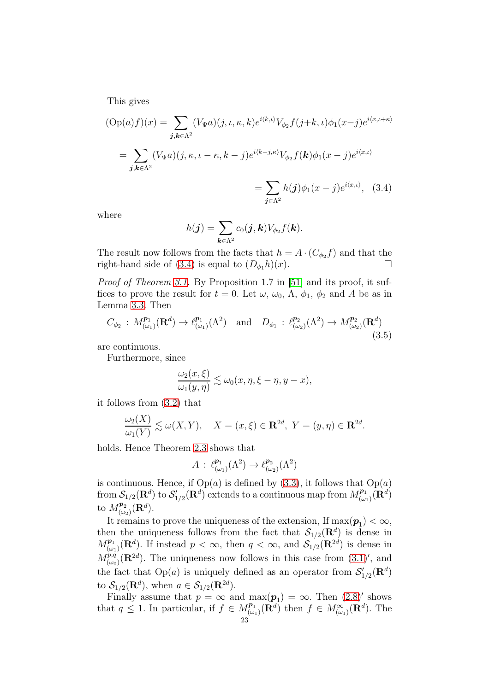This gives

$$
\begin{aligned} \text{(Op}(a)f)(x) &= \sum_{\mathbf{j},\mathbf{k}\in\Lambda^2} (V_{\Psi}a)(j,\iota,\kappa,k)e^{i\langle k,\iota\rangle}V_{\phi_2}f(j+k,\iota)\phi_1(x-j)e^{i\langle x,\iota+\kappa\rangle} \\ &= \sum_{\mathbf{j},\mathbf{k}\in\Lambda^2} (V_{\Psi}a)(j,\kappa,\iota-\kappa,k-j)e^{i\langle k-j,\kappa\rangle}V_{\phi_2}f(\mathbf{k})\phi_1(x-j)e^{i\langle x,\iota\rangle} \\ &= \sum_{\mathbf{j},\mathbf{k}\in\Lambda^2} h(\mathbf{j})\phi_1(x-j)e^{i\langle x,\iota\rangle}, \quad (3.4) \end{aligned}
$$

<span id="page-22-0"></span> $j\in\Lambda^2$ 

where

$$
h(\boldsymbol{j}) = \sum_{\boldsymbol{k} \in \Lambda^2} c_0(\boldsymbol{j}, \boldsymbol{k}) V_{\phi_2} f(\boldsymbol{k}).
$$

The result now follows from the facts that  $h = A \cdot (C_{\phi_2} f)$  and that the right-hand side of [\(3.4\)](#page-22-0) is equal to  $(D_{\phi_1}h)(x)$ .

Proof of Theorem [3.1.](#page-20-1) By Proposition 1.7 in [\[51\]](#page-37-8) and its proof, it suffices to prove the result for  $t = 0$ . Let  $\omega$ ,  $\omega_0$ ,  $\Lambda$ ,  $\phi_1$ ,  $\phi_2$  and A be as in Lemma [3.3.](#page-20-3) Then

$$
C_{\phi_2}: M^{p_1}_{(\omega_1)}(\mathbf{R}^d) \to \ell^{p_1}_{(\omega_1)}(\Lambda^2) \quad \text{and} \quad D_{\phi_1}: \ell^{p_2}_{(\omega_2)}(\Lambda^2) \to M^{p_2}_{(\omega_2)}(\mathbf{R}^d)
$$
\n(3.5)

are continuous.

Furthermore, since

$$
\frac{\omega_2(x,\xi)}{\omega_1(y,\eta)} \lesssim \omega_0(x,\eta,\xi-\eta,y-x),
$$

it follows from [\(3.2\)](#page-21-0) that

$$
\frac{\omega_2(X)}{\omega_1(Y)} \lesssim \omega(X, Y), \quad X = (x, \xi) \in \mathbf{R}^{2d}, \ Y = (y, \eta) \in \mathbf{R}^{2d}.
$$

holds. Hence Theorem [2.3](#page-16-0) shows that

$$
A: \ell^{p_1}_{(\omega_1)}(\Lambda^2) \to \ell^{p_2}_{(\omega_2)}(\Lambda^2)
$$

is continuous. Hence, if  $Op(a)$  is defined by [\(3.3\)](#page-21-1), it follows that  $Op(a)$  $\rm{ from }$   $\cal{S}_{1/2}(\mathbf{R}^d)$  to  $\cal{S}'_{1/2}(\mathbf{R}^d)$  extends to a continuous map from  $M^{p_1}_{(\omega)}$  $\overline{\mathbf{P}_1 \choose (\omega_1)} \tilde{(\mathbf{R}^d)}$ to  $M^{p_2}_{(a)}$  $\frac{\boldsymbol{p}_2}{(\omega_2)}(\mathbf{R}^d).$ 

It remains to prove the uniqueness of the extension, If  $\max(\boldsymbol{p}_1) < \infty$ , then the uniqueness follows from the fact that  $\mathcal{S}_{1/2}(\mathbf{R}^d)$  is dense in  $M_{\scriptscriptstyle (n)}^{\mathbf{p}_1}$  $\mathcal{P}_1^{p_1}(\mathbf{R}^d)$ . If instead  $p < \infty$ , then  $q < \infty$ , and  $\mathcal{S}_1/2(\mathbf{R}^{2d})$  is dense in  $M^{p,q}_{(\omega_0)}(\mathbf{R}^{2d})$ . The uniqueness now follows in this case from  $(3.1)'$ , and the fact that  $Op(a)$  is uniquely defined as an operator from  $\mathcal{S}'_{1/2}(\mathbf{R}^d)$ to  $\mathcal{S}_{1/2}(\mathbf{R}^d)$ , when  $a \in \mathcal{S}_{1/2}(\mathbf{R}^{2d})$ .

Finally assume that  $p = \infty$  and  $\max(\boldsymbol{p}_1) = \infty$ . Then  $(2.8)'$  shows that  $q \leq 1$ . In particular, if  $f \in M_{\omega}^{p_1}$  $\frac{p_1}{(\omega_1)}(\mathbf{R}^d)$  then  $f \in M_{(\omega_1)}^{\infty}(\mathbf{R}^d)$ . The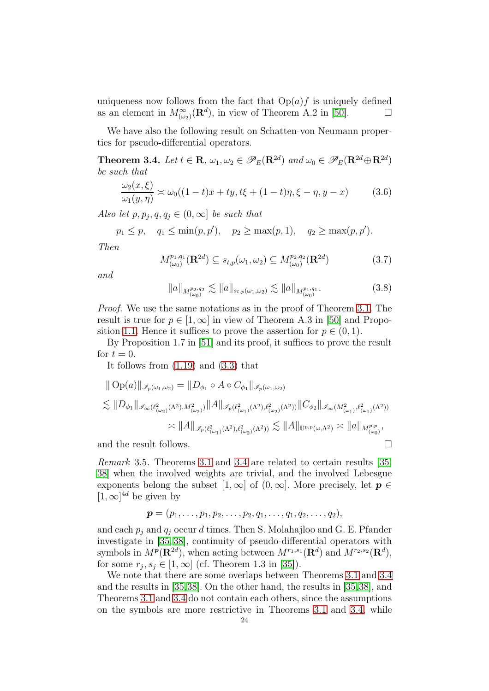uniqueness now follows from the fact that  $Op(a)f$  is uniquely defined as an element in  $M^{\infty}_{(\omega_2)}(\mathbf{R}^d)$ , in view of Theorem A.2 in [\[50\]](#page-37-5).

We have also the following result on Schatten-von Neumann properties for pseudo-differential operators.

<span id="page-23-0"></span>**Theorem 3.4.** Let  $t \in \mathbb{R}$ ,  $\omega_1, \omega_2 \in \mathscr{P}_E(\mathbb{R}^{2d})$  and  $\omega_0 \in \mathscr{P}_E(\mathbb{R}^{2d} \oplus \mathbb{R}^{2d})$ be such that

<span id="page-23-1"></span>
$$
\frac{\omega_2(x,\xi)}{\omega_1(y,\eta)} \approx \omega_0((1-t)x + ty, t\xi + (1-t)\eta, \xi - \eta, y - x) \tag{3.6}
$$

Also let  $p, p_j, q, q_j \in (0, \infty]$  be such that

 $p_1 \leq p$ ,  $q_1 \leq \min(p, p')$ ,  $p_2 \geq \max(p, 1)$ ,  $q_2 \geq \max(p, p')$ .

Then

<span id="page-23-2"></span>
$$
M_{(\omega_0)}^{p_1,q_1}(\mathbf{R}^{2d}) \subseteq s_{t,p}(\omega_1,\omega_2) \subseteq M_{(\omega_0)}^{p_2,q_2}(\mathbf{R}^{2d})
$$
\n(3.7)

and

$$
||a||_{M^{p_2,q_2}_{(\omega_0)}} \lesssim ||a||_{s_{t,p}(\omega_1,\omega_2)} \lesssim ||a||_{M^{p_1,q_1}_{(\omega_0)}}.
$$
 (3.8)

Proof. We use the same notations as in the proof of Theorem [3.1.](#page-20-1) The result is true for  $p \in [1,\infty]$  in view of Theorem A.3 in [\[50\]](#page-37-5) and Propo-sition [1.1.](#page-8-0) Hence it suffices to prove the assertion for  $p \in (0, 1)$ .

By Proposition 1.7 in [\[51\]](#page-37-8) and its proof, it suffices to prove the result for  $t = 0$ .

It follows from [\(1.19\)](#page-11-1) and [\(3.3\)](#page-21-1) that

$$
\| Op(a) \|_{\mathscr{I}_{p}(\omega_{1},\omega_{2})} = \| D_{\phi_{1}} \circ A \circ C_{\phi_{1}} \|_{\mathscr{I}_{p}(\omega_{1},\omega_{2})}
$$
  

$$
\lesssim \| D_{\phi_{1}} \|_{\mathscr{I}_{\infty}(\ell^{2}_{(\omega_{2})}(\Lambda^{2}),M^{2}_{(\omega_{2})})} \| A \|_{\mathscr{I}_{p}(\ell^{2}_{(\omega_{1})}(\Lambda^{2}),\ell^{2}_{(\omega_{2})}(\Lambda^{2}))} \| C_{\phi_{2}} \|_{\mathscr{I}_{\infty}(M^{2}_{(\omega_{1})},\ell^{2}_{(\omega_{1})}(\Lambda^{2}))}
$$
  

$$
\asymp \| A \|_{\mathscr{I}_{p}(\ell^{2}_{(\omega_{1})}(\Lambda^{2}),\ell^{2}_{(\omega_{2})}(\Lambda^{2}))} \lesssim \| A \|_{\mathbb{U}^{p,p}(\omega,\Lambda^{2})} \asymp \| a \|_{M^{p,p}_{(\omega_{0})}},
$$

and the result follows.

Remark 3.5. Theorems [3.1](#page-20-1) and [3.4](#page-23-0) are related to certain results [\[35,](#page-36-6) [38\]](#page-36-19) when the involved weights are trivial, and the involved Lebesgue exponents belong the subset  $[1,\infty]$  of  $(0,\infty]$ . More precisely, let  $p \in$  $[1,\infty]^{4d}$  be given by

$$
\boldsymbol{p}=(p_1,\ldots,p_1,p_2,\ldots,p_2,q_1,\ldots,q_1,q_2,\ldots,q_2),
$$

and each  $p_i$  and  $q_i$  occur d times. Then S. Molahajloo and G. E. Pfander investigate in [\[35,](#page-36-6) [38\]](#page-36-19), continuity of pseudo-differential operators with symbols in  $M^p(\mathbf{R}^{2d})$ , when acting between  $M^{r_1,s_1}(\mathbf{R}^d)$  and  $M^{r_2,s_2}(\mathbf{R}^d)$ , for some  $r_j, s_j \in [1, \infty]$  (cf. Theorem 1.3 in [\[35\]](#page-36-6)).

We note that there are some overlaps between Theorems [3.1](#page-20-1) and [3.4](#page-23-0) and the results in [\[35,](#page-36-6)[38\]](#page-36-19). On the other hand, the results in [\[35,](#page-36-6)[38\]](#page-36-19), and Theorems [3.1](#page-20-1) and [3.4](#page-23-0) do not contain each others, since the assumptions on the symbols are more restrictive in Theorems [3.1](#page-20-1) and [3.4,](#page-23-0) while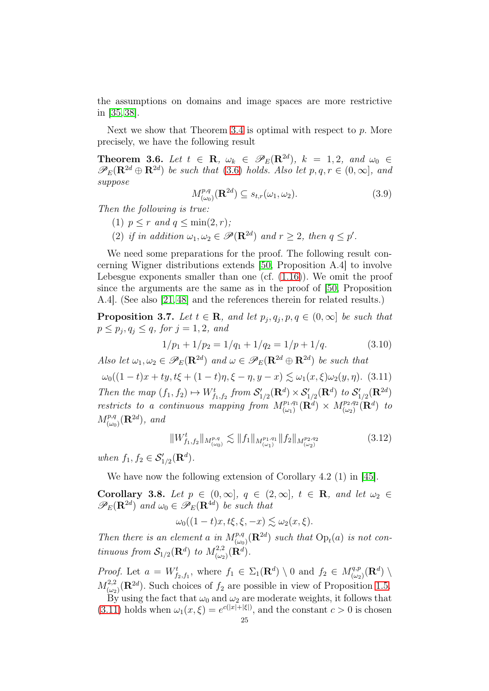the assumptions on domains and image spaces are more restrictive in [\[35,](#page-36-6) [38\]](#page-36-19).

Next we show that Theorem [3.4](#page-23-0) is optimal with respect to  $p$ . More precisely, we have the following result

<span id="page-24-0"></span>**Theorem 3.6.** Let  $t \in \mathbb{R}$ ,  $\omega_k \in \mathscr{P}_E(\mathbb{R}^{2d})$ ,  $k = 1, 2$ , and  $\omega_0 \in$  $\mathscr{P}_E(\mathbf{R}^{2d} \oplus \mathbf{R}^{2d})$  be such that [\(3.6\)](#page-23-1) holds. Also let  $p, q, r \in (0, \infty]$ , and suppose

<span id="page-24-3"></span>
$$
M_{(\omega_0)}^{p,q}(\mathbf{R}^{2d}) \subseteq s_{t,r}(\omega_1, \omega_2). \tag{3.9}
$$

Then the following is true:

- (1)  $p \leq r$  and  $q \leq \min(2, r)$ ;
- (2) if in addition  $\omega_1, \omega_2 \in \mathscr{P}(\mathbf{R}^{2d})$  and  $r \geq 2$ , then  $q \leq p'$ .

We need some preparations for the proof. The following result concerning Wigner distributions extends [\[50,](#page-37-5) Proposition A.4] to involve Lebesgue exponents smaller than one (cf. [\(1.16\)](#page-11-2)). We omit the proof since the arguments are the same as in the proof of [\[50,](#page-37-5) Proposition A.4]. (See also [\[21,](#page-36-0) [48\]](#page-37-1) and the references therein for related results.)

<span id="page-24-2"></span>**Proposition 3.7.** Let  $t \in \mathbb{R}$ , and let  $p_j, q_j, p, q \in (0, \infty]$  be such that  $p \leq p_j, q_j \leq q$ , for  $j = 1, 2$ , and

$$
1/p_1 + 1/p_2 = 1/q_1 + 1/q_2 = 1/p + 1/q.
$$
 (3.10)

Also let  $\omega_1, \omega_2 \in \mathscr{P}_E(\mathbf{R}^{2d})$  and  $\omega \in \mathscr{P}_E(\mathbf{R}^{2d} \oplus \mathbf{R}^{2d})$  be such that

<span id="page-24-1"></span> $\omega_0((1-t)x + ty, t\xi + (1-t)\eta, \xi - \eta, y - x) \leq \omega_1(x, \xi)\omega_2(y, \eta)$ . (3.11) Then the map  $(f_1, f_2) \mapsto W^t_{f_1, f_2}$  from  $\mathcal{S}'_{1/2}(\mathbf{R}^d) \times \mathcal{S}'_{1/2}(\mathbf{R}^d)$  to  $\mathcal{S}'_{1/2}(\mathbf{R}^{2d})$ restricts to a continuous mapping from  $M_{(\omega_1)}^{p_1,q_1}(\mathbf{R}^d) \times M_{(\omega_2)}^{p_2,q_2}(\mathbf{R}^d)$  to  $M^{p,q}_{(\omega_0)}(\mathbf{R}^{2d})$ , and

$$
||W_{f_1,f_2}^t||_{M_{(\omega_0)}^{p,q}} \lesssim ||f_1||_{M_{(\omega_1)}^{p_1,q_1}} ||f_2||_{M_{(\omega_2)}^{p_2,q_2}}
$$
\n(3.12)

when  $f_1, f_2 \in \mathcal{S}'_{1/2}(\mathbf{R}^d)$ .

We have now the following extension of Corollary 4.2 (1) in [\[45\]](#page-37-3).

<span id="page-24-4"></span>Corollary 3.8. Let  $p \in (0,\infty], q \in (2,\infty], t \in \mathbb{R}$ , and let  $\omega_2 \in$  $\mathscr{P}_E(\mathbf{R}^{2d})$  and  $\omega_0 \in \mathscr{P}_E(\mathbf{R}^{4d})$  be such that

$$
\omega_0((1-t)x,t\xi,\xi,-x) \lesssim \omega_2(x,\xi).
$$

Then there is an element a in  $M^{p,q}_{(\omega_0)}(\mathbf{R}^{2d})$  such that  $\text{Op}_t(a)$  is not continuous from  $\mathcal{S}_{1/2}(\mathbf{R}^d)$  to  $M_{(\omega_2)}^{2,2}(\mathbf{R}^d)$ .

*Proof.* Let  $a = W^t_{f_2,f_1}$ , where  $f_1 \in \Sigma_1(\mathbf{R}^d) \setminus \mathbf{0}$  and  $f_2 \in M^{q,p}_{(\omega_2)}(\mathbf{R}^d) \setminus$  $M^{2,2}_{(w)}$ <sup>2,2</sup><sub>( $\omega_2$ )</sub>( $\mathbf{R}^{2d}$ ). Such choices of  $f_2$  are possible in view of Proposition [1.5.](#page-9-3)

By using the fact that  $\omega_0$  and  $\omega_2$  are moderate weights, it follows that [\(3.11\)](#page-24-1) holds when  $\omega_1(x,\xi) = e^{c(|x|+|\xi|)}$ , and the constant  $c > 0$  is chosen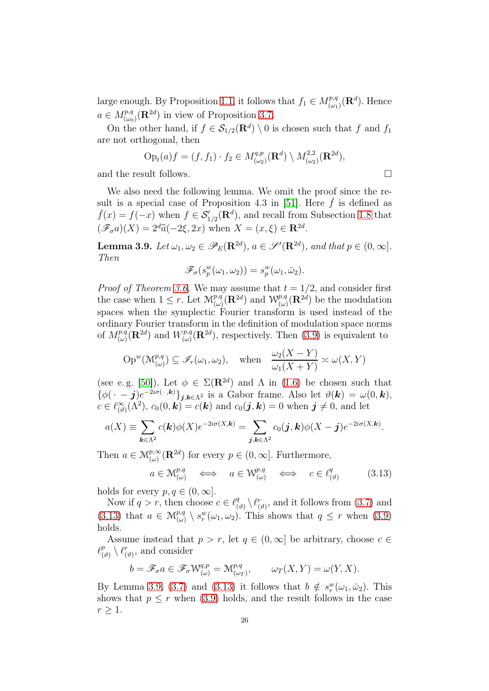large enough. By Proposition [1.1,](#page-8-0) it follows that  $f_1 \in M^{p,q}_{(\omega)}$  $\binom{p,q}{(\omega_1)}(\mathbf{R}^d)$ . Hence  $a \in M^{p,q}_{(\omega_0)}(\mathbf{R}^{2d})$  in view of Proposition [3.7.](#page-24-2)

On the other hand, if  $f \in \mathcal{S}_{1/2}(\mathbf{R}^d) \setminus 0$  is chosen such that f and  $f_1$ are not orthogonal, then

$$
\text{Op}_t(a)f = (f, f_1) \cdot f_2 \in M_{(\omega_2)}^{q,p}(\mathbf{R}^d) \setminus M_{(\omega_2)}^{2,2}(\mathbf{R}^{2d}),
$$
 and the result follows.

We also need the following lemma. We omit the proof since the re-sult is a special case of Proposition 4.3 in [\[51\]](#page-37-8). Here  $\dot{f}$  is defined as  $\check{f}(x) = f(-x)$  when  $f \in \mathcal{S}'_{1/2}(\mathbf{R}^d)$ , and recall from Subsection [1.8](#page-12-0) that  $(\mathscr{F}_{\sigma}a)(X) = 2^d\widehat{a}(-2\xi, 2x)$  when  $X = (x, \xi) \in \mathbb{R}^{2d}$ .

<span id="page-25-1"></span>**Lemma 3.9.** Let  $\omega_1, \omega_2 \in \mathscr{P}_E(\mathbf{R}^{2d}), a \in \mathscr{S}'(\mathbf{R}^{2d}),$  and that  $p \in (0, \infty]$ . Then

$$
\mathscr{F}_{\sigma}(s_p^w(\omega_1, \omega_2)) = s_p^w(\omega_1, \check{\omega}_2).
$$

*Proof of Theorem [3.6.](#page-24-0)* We may assume that  $t = 1/2$ , and consider first the case when  $1 \leq r$ . Let  $\mathcal{M}^{p,q}_{(\omega)}(\mathbf{R}^{2d})$  and  $\mathcal{W}^{p,q}_{(\omega)}(\mathbf{R}^{2d})$  be the modulation spaces when the symplectic Fourier transform is used instead of the ordinary Fourier transform in the definition of modulation space norms of  $M^{p,q}_{(\omega)}(\mathbf{R}^{2d})$  and  $W^{p,q}_{(\omega)}$  $(\omega)_{(\omega)}^{p,q}(\mathbf{R}^{2d})$ , respectively. Then [\(3.9\)](#page-24-3) is equivalent to

$$
\operatorname{Op}^w(\mathcal{M}^{p,q}_{(\omega)}) \subseteq \mathscr{I}_r(\omega_1, \omega_2), \quad \text{when} \quad \frac{\omega_2(X - Y)}{\omega_1(X + Y)} \approx \omega(X, Y)
$$

(see e.g. [\[50\]](#page-37-5)). Let  $\phi \in \Sigma(\mathbf{R}^{2d})$  and  $\Lambda$  in [\(1.6\)](#page-6-0) be chosen such that  $\{\phi(\cdot - j)e^{-2i\sigma(\cdot,\mathbf{k})}\}_{j,\mathbf{k}\in\Lambda^2}$  is a Gabor frame. Also let  $\theta(\mathbf{k}) = \omega(0,\mathbf{k}),$  $c \in \ell^{\infty}_{(\vartheta)}(\Lambda^2)$ ,  $c_0(0, \mathbf{k}) = c(\mathbf{k})$  and  $c_0(\mathbf{j}, \mathbf{k}) = 0$  when  $\mathbf{j} \neq 0$ , and let

$$
a(X) \equiv \sum_{\mathbf{k}\in\Lambda^2} c(\mathbf{k})\phi(X)e^{-2i\sigma(X,\mathbf{k})} = \sum_{\mathbf{j},\mathbf{k}\in\Lambda^2} c_0(\mathbf{j},\mathbf{k})\phi(X-\mathbf{j})e^{-2i\sigma(X,\mathbf{k})}.
$$

Then  $a \in \mathcal{M}_{(\omega)}^{p,\infty}(\mathbf{R}^{2d})$  for every  $p \in (0,\infty]$ . Furthermore,

<span id="page-25-0"></span>
$$
a \in \mathcal{M}^{p,q}_{(\omega)} \iff a \in \mathcal{W}^{p,q}_{(\omega)} \iff c \in \ell^q_{(\vartheta)} \tag{3.13}
$$

holds for every  $p, q \in (0, \infty]$ .

Now if  $q > r$ , then choose  $c \in \ell_q^q$  $\binom{q}{(\vartheta)}\setminus \ell_{(\vartheta)}^r$ , and it follows from  $(3.7)$  and [\(3.13\)](#page-25-0) that  $a \in \mathcal{M}_{(\omega)}^{p,q} \setminus s_r^w(\omega_1, \omega_2)$ . This shows that  $q \leq r$  when [\(3.9\)](#page-24-3) holds.

Assume instead that  $p > r$ , let  $q \in (0,\infty]$  be arbitrary, choose  $c \in$  $\ell_{\scriptscriptstyle (i)}^p$  $\ell_{(\vartheta)}^p \setminus \ell_{(\vartheta)}^r$ , and consider

$$
b=\mathscr{F}_{\sigma}a\in\mathscr{F}_{\sigma}\mathcal{W}^{q,p}_{(\omega)}=\mathcal{M}^{p,q}_{(\omega_T)},\qquad \omega_T(X,Y)=\omega(Y,X).
$$

By Lemma [3.9,](#page-25-1) [\(3.7\)](#page-23-2) and [\(3.13\)](#page-25-0) it follows that  $b \notin s_r^w(\omega_1, \tilde{\omega}_2)$ . This shows that  $p \leq r$  when [\(3.9\)](#page-24-3) holds, and the result follows in the case  $r > 1$ .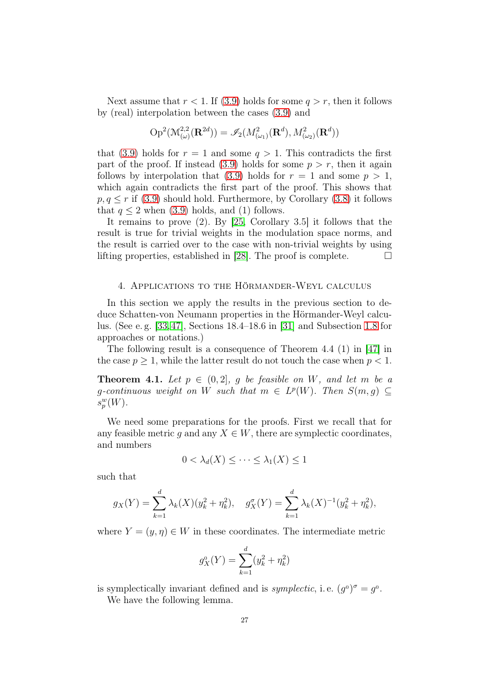Next assume that  $r < 1$ . If [\(3.9\)](#page-24-3) holds for some  $q > r$ , then it follows by (real) interpolation between the cases [\(3.9\)](#page-24-3) and

$$
\operatorname{Op}^2(\mathcal{M}^{2,2}_{(\omega)}(\mathbf{R}^{2d}))=\mathscr{I}_2(M^2_{(\omega_1)}(\mathbf{R}^d),M^2_{(\omega_2)}(\mathbf{R}^d))
$$

that [\(3.9\)](#page-24-3) holds for  $r = 1$  and some  $q > 1$ . This contradicts the first part of the proof. If instead  $(3.9)$  holds for some  $p > r$ , then it again follows by interpolation that [\(3.9\)](#page-24-3) holds for  $r = 1$  and some  $p > 1$ , which again contradicts the first part of the proof. This shows that  $p, q \leq r$  if [\(3.9\)](#page-24-3) should hold. Furthermore, by Corollary [\(3.8\)](#page-24-4) it follows that  $q \leq 2$  when [\(3.9\)](#page-24-3) holds, and (1) follows.

It remains to prove (2). By [\[25,](#page-36-4) Corollary 3.5] it follows that the result is true for trivial weights in the modulation space norms, and the result is carried over to the case with non-trivial weights by using lifting properties, established in [\[28\]](#page-36-20). The proof is complete.  $\Box$ 

### <span id="page-26-0"></span>4. Applications to the Hörmander-Weyl calculus

In this section we apply the results in the previous section to deduce Schatten-von Neumann properties in the Hörmander-Weyl calculus. (See e. g. [\[33,](#page-36-17)[47\]](#page-37-0), Sections 18.4–18.6 in [\[31\]](#page-36-1) and Subsection [1.8](#page-12-0) for approaches or notations.)

The following result is a consequence of Theorem 4.4 (1) in [\[47\]](#page-37-0) in the case  $p \geq 1$ , while the latter result do not touch the case when  $p < 1$ .

<span id="page-26-1"></span>**Theorem 4.1.** Let  $p \in (0, 2]$ , g be feasible on W, and let m be a g-continuous weight on W such that  $m \in L^p(W)$ . Then  $S(m, g) \subseteq$  $s_p^w(W)$ .

We need some preparations for the proofs. First we recall that for any feasible metric g and any  $X \in W$ , there are symplectic coordinates, and numbers

$$
0 < \lambda_d(X) \le \cdots \le \lambda_1(X) \le 1
$$

such that

$$
g_X(Y) = \sum_{k=1}^d \lambda_k(X)(y_k^2 + \eta_k^2), \quad g_X^{\sigma}(Y) = \sum_{k=1}^d \lambda_k(X)^{-1}(y_k^2 + \eta_k^2),
$$

where  $Y = (y, \eta) \in W$  in these coordinates. The intermediate metric

$$
g_X^0(Y) = \sum_{k=1}^d (y_k^2 + \eta_k^2)
$$

is symplectically invariant defined and is *symplectic*, i.e.  $(g^0)^\sigma = g^0$ .

We have the following lemma.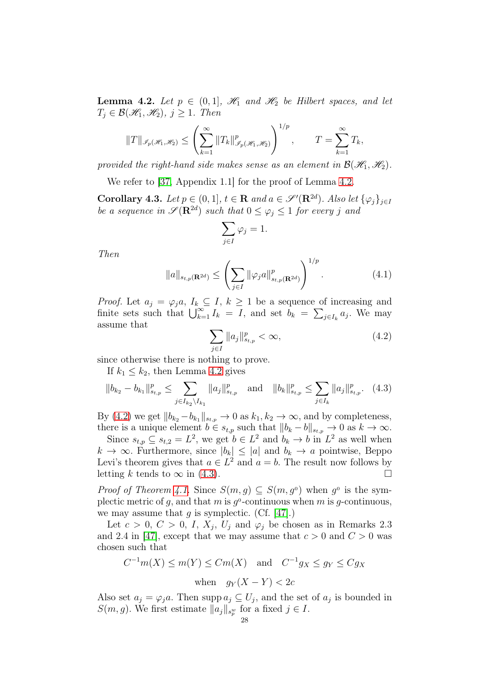<span id="page-27-0"></span>**Lemma 4.2.** Let  $p \in (0,1]$ ,  $\mathcal{H}_1$  and  $\mathcal{H}_2$  be Hilbert spaces, and let  $T_i \in \mathcal{B}(\mathcal{H}_1, \mathcal{H}_2), j \geq 1$ . Then

$$
||T||_{\mathcal{I}_p(\mathcal{H}_1,\mathcal{H}_2)} \leq \left(\sum_{k=1}^{\infty} ||T_k||_{\mathcal{I}_p(\mathcal{H}_1,\mathcal{H}_2)}^p\right)^{1/p}, \qquad T = \sum_{k=1}^{\infty} T_k,
$$

provided the right-hand side makes sense as an element in  $\mathcal{B}(\mathcal{H}_1, \mathcal{H}_2)$ .

We refer to [\[37,](#page-36-21) Appendix 1.1] for the proof of Lemma [4.2.](#page-27-0)

<span id="page-27-3"></span>Corollary 4.3. Let  $p \in (0,1]$ ,  $t \in \mathbb{R}$  and  $a \in \mathscr{S}'(\mathbb{R}^{2d})$ . Also let  $\{\varphi_j\}_{j\in I}$ be a sequence in  $\mathscr{S}(\mathbf{R}^{2d})$  such that  $0 \leq \varphi_j \leq 1$  for every j and

$$
\sum_{j\in I}\varphi_j=1.
$$

Then

$$
||a||_{s_{t,p}(\mathbf{R}^{2d})} \leq \left(\sum_{j\in I} ||\varphi_j a||_{s_{t,p}(\mathbf{R}^{2d})}^p\right)^{1/p}.
$$
 (4.1)

*Proof.* Let  $a_j = \varphi_j a, I_k \subseteq I, k \ge 1$  be a sequence of increasing and finite sets such that  $\bigcup_{k=1}^{\infty} I_k = I$ , and set  $b_k = \sum_{j \in I_k} a_j$ . We may assume that

<span id="page-27-1"></span>
$$
\sum_{j \in I} \|a_j\|_{s_{t,p}}^p < \infty,\tag{4.2}
$$

since otherwise there is nothing to prove.

If  $k_1 \leq k_2$ , then Lemma [4.2](#page-27-0) gives

<span id="page-27-2"></span>
$$
||b_{k_2} - b_{k_1}||_{s_{t,p}}^p \le \sum_{j \in I_{k_2} \setminus I_{k_1}} ||a_j||_{s_{t,p}}^p \text{ and } ||b_k||_{s_{t,p}}^p \le \sum_{j \in I_k} ||a_j||_{s_{t,p}}^p. (4.3)
$$

By [\(4.2\)](#page-27-1) we get  $||b_{k_2} - b_{k_1}||_{s_{t,p}} \to 0$  as  $k_1, k_2 \to \infty$ , and by completeness, there is a unique element  $b \in s_{t,p}$  such that  $||b_k - b||_{s_{t,p}} \to 0$  as  $k \to \infty$ .

Since  $s_{t,p} \subseteq s_{t,2} = L^2$ , we get  $b \in L^2$  and  $b_k \to b$  in  $L^2$  as well when  $k \to \infty$ . Furthermore, since  $|b_k| \leq |a|$  and  $b_k \to a$  pointwise, Beppo Levi's theorem gives that  $a \in L^2$  and  $a = b$ . The result now follows by letting k tends to  $\infty$  in [\(4.3\)](#page-27-2).

*Proof of Theorem [4.1.](#page-26-1)* Since  $S(m, g) \subseteq S(m, g^0)$  when  $g^0$  is the symplectic metric of g, and that m is  $g^0$ -continuous when m is g-continuous, we may assume that  $g$  is symplectic. (Cf. [\[47\]](#page-37-0).)

Let  $c > 0$ ,  $C > 0$ ,  $I$ ,  $X_j$ ,  $U_j$  and  $\varphi_j$  be chosen as in Remarks 2.3 and 2.4 in [\[47\]](#page-37-0), except that we may assume that  $c > 0$  and  $C > 0$  was chosen such that

$$
C^{-1}m(X) \le m(Y) \le Cm(X) \quad \text{and} \quad C^{-1}g_X \le g_Y \le Cg_X
$$
  
when  $g_Y(X - Y) < 2c$ 

Also set  $a_j = \varphi_j a$ . Then supp  $a_j \subseteq U_j$ , and the set of  $a_j$  is bounded in  $S(m, g)$ . We first estimate  $||a_j||_{s_p^w}$  for a fixed  $j \in I$ .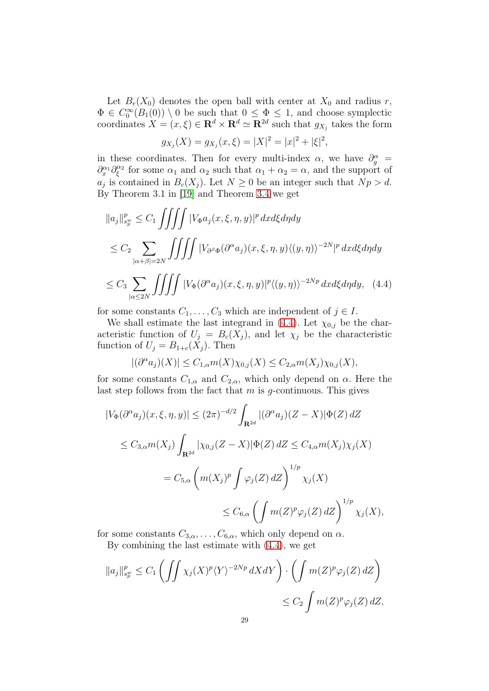Let  $B_r(X_0)$  denotes the open ball with center at  $X_0$  and radius r,  $\Phi \in C_0^{\infty}(B_1(0)) \setminus 0$  be such that  $0 \leq \Phi \leq 1$ , and choose symplectic coordinates  $X = (x, \xi) \in \mathbb{R}^d \times \mathbb{R}^d \simeq \mathbb{R}^{2d}$  such that  $g_{X_j}$  takes the form

<span id="page-28-0"></span>
$$
g_{X_j}(X) = g_{X_j}(x,\xi) = |X|^2 = |x|^2 + |\xi|^2,
$$

in these coordinates. Then for every multi-index  $\alpha$ , we have  $\partial_g^{\alpha} =$  $\partial_x^{\alpha_1} \partial_\xi^{\alpha_2}$  $\frac{\alpha_2}{\xi}$  for some  $\alpha_1$  and  $\alpha_2$  such that  $\alpha_1 + \alpha_2 = \alpha$ , and the support of  $a_j$  is contained in  $B_c(X_j)$ . Let  $N \geq 0$  be an integer such that  $Np > d$ . By Theorem 3.1 in [\[19\]](#page-36-12) and Theorem [3.4](#page-23-0) we get

$$
||a_j||_{s_p^w}^p \le C_1 \iiint \left|V_{\Phi} a_j(x, \xi, \eta, y)\right|^p dx d\xi d\eta dy
$$
  
\n
$$
\le C_2 \sum_{|\alpha+\beta|=2N} \iiint \left|V_{\partial^{\beta}\Phi} (\partial^{\alpha} a_j)(x, \xi, \eta, y) \langle (y, \eta) \rangle^{-2N} |^p dx d\xi d\eta dy
$$
  
\n
$$
\le C_3 \sum_{|\alpha \le 2N} \iiint \left|V_{\Phi} (\partial^{\alpha} a_j)(x, \xi, \eta, y)|^p \langle (y, \eta) \rangle^{-2Np} dx d\xi d\eta dy, \quad (4.4)
$$

for some constants  $C_1, \ldots, C_3$  which are independent of  $j \in I$ .

We shall estimate the last integrand in [\(4.4\)](#page-28-0). Let  $\chi_{0,i}$  be the characteristic function of  $U_j = B_c(X_j)$ , and let  $\chi_j$  be the characteristic function of  $U_j = B_{1+c}(X_j)$ . Then

$$
|(\partial^{\alpha} a_j)(X)| \leq C_{1,\alpha} m(X) \chi_{0,j}(X) \leq C_{2,\alpha} m(X_j) \chi_{0,j}(X),
$$

for some constants  $C_{1,\alpha}$  and  $C_{2,\alpha}$ , which only depend on  $\alpha$ . Here the last step follows from the fact that  $m$  is  $q$ -continuous. This gives

$$
\begin{aligned} |V_{\Phi}(\partial^{\alpha} a_j)(x,\xi,\eta,y)| &\leq (2\pi)^{-d/2} \int_{\mathbf{R}^{2d}} |(\partial^{\alpha} a_j)(Z-X)| \Phi(Z) \, dZ \\ &\leq C_{3,\alpha} m(X_j) \int_{\mathbf{R}^{2d}} |\chi_{0,j}(Z-X)| \Phi(Z) \, dZ \leq C_{4,\alpha} m(X_j) \chi_j(X) \\ &= C_{5,\alpha} \left( m(X_j)^p \int \varphi_j(Z) \, dZ \right)^{1/p} \chi_j(X) \\ &\leq C_{6,\alpha} \left( \int m(Z)^p \varphi_j(Z) \, dZ \right)^{1/p} \chi_j(X), \end{aligned}
$$

for some constants  $C_{3,\alpha}, \ldots, C_{6,\alpha}$ , which only depend on  $\alpha$ .

By combining the last estimate with [\(4.4\)](#page-28-0), we get

$$
||a_j||_{s_p^w}^p \le C_1 \left( \iint \chi_j(X)^p \langle Y \rangle^{-2Np} dX dY \right) \cdot \left( \int m(Z)^p \varphi_j(Z) dZ \right)
$$
  

$$
\le C_2 \int m(Z)^p \varphi_j(Z) dZ,
$$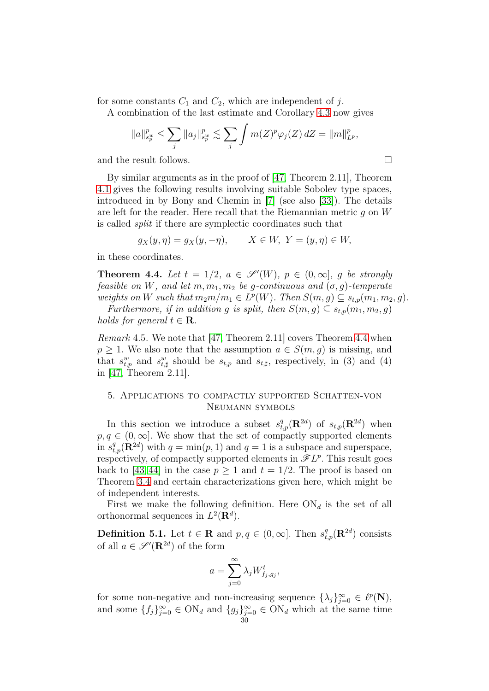for some constants  $C_1$  and  $C_2$ , which are independent of j.

A combination of the last estimate and Corollary [4.3](#page-27-3) now gives

$$
||a||_{s_p^w}^p \le \sum_j ||a_j||_{s_p^w}^p \lesssim \sum_j \int m(Z)^p \varphi_j(Z) \, dZ = ||m||_{L^p}^p,
$$
  
and the result follows.

By similar arguments as in the proof of [\[47,](#page-37-0) Theorem 2.11], Theorem [4.1](#page-26-1) gives the following results involving suitable Sobolev type spaces, introduced in by Bony and Chemin in [\[7\]](#page-35-9) (see also [\[33\]](#page-36-17)). The details are left for the reader. Here recall that the Riemannian metric q on  $W$ is called split if there are symplectic coordinates such that

$$
g_X(y, \eta) = g_X(y, -\eta), \qquad X \in W, \ Y = (y, \eta) \in W,
$$

in these coordinates.

<span id="page-29-1"></span>**Theorem 4.4.** Let  $t = 1/2$ ,  $a \in \mathscr{S}'(W)$ ,  $p \in (0, \infty]$ , g be strongly feasible on W, and let  $m, m_1, m_2$  be g-continuous and  $(\sigma, g)$ -temperate weights on W such that  $m_2m/m_1 \in L^p(W)$ . Then  $S(m, g) \subseteq s_{t,p}(m_1, m_2, g)$ .

Furthermore, if in addition g is split, then  $S(m, g) \subseteq s_{t,p}(m_1, m_2, g)$ holds for general  $t \in \mathbf{R}$ .

*Remark* 4.5. We note that [\[47,](#page-37-0) Theorem 2.11] covers Theorem [4.4](#page-29-1) when  $p \geq 1$ . We also note that the assumption  $a \in S(m, g)$  is missing, and that  $s_{t,p}^w$  and  $s_{t,\sharp}^w$  should be  $s_{t,p}$  and  $s_{t,\sharp}$ , respectively, in (3) and (4) in [\[47,](#page-37-0) Theorem 2.11].

## <span id="page-29-0"></span>5. Applications to compactly supported Schatten-von Neumann symbols

In this section we introduce a subset  $s_{t,p}^q(\mathbf{R}^{2d})$  of  $s_{t,p}(\mathbf{R}^{2d})$  when  $p, q \in (0, \infty]$ . We show that the set of compactly supported elements in  $s_{t,p}^q(\mathbf{R}^{2d})$  with  $q = \min(p, 1)$  and  $q = 1$  is a subspace and superspace, respectively, of compactly supported elements in  $\mathscr{F}L^p$ . This result goes back to [\[43,](#page-37-13) [44\]](#page-37-14) in the case  $p \ge 1$  and  $t = 1/2$ . The proof is based on Theorem [3.4](#page-23-0) and certain characterizations given here, which might be of independent interests.

First we make the following definition. Here  $ON_d$  is the set of all orthonormal sequences in  $L^2(\mathbf{R}^d)$ .

**Definition 5.1.** Let  $t \in \mathbb{R}$  and  $p, q \in (0, \infty]$ . Then  $s_{t,p}^q(\mathbb{R}^{2d})$  consists of all  $a \in \mathscr{S}'(\mathbf{R}^{2d})$  of the form

$$
a = \sum_{j=0}^{\infty} \lambda_j W_{f_j, g_j}^t,
$$

for some non-negative and non-increasing sequence  $\{\lambda_j\}_{j=0}^{\infty} \in \ell^p(\mathbf{N}),$ and some  $\{f_j\}_{j=0}^{\infty} \in \text{ON}_d$  and  $\{g_j\}_{j=0}^{\infty} \in \text{ON}_d$  which at the same time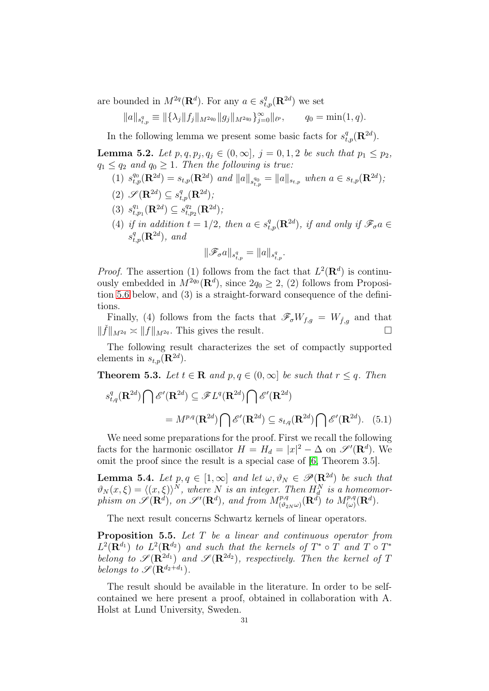are bounded in  $M^{2q}(\mathbf{R}^d)$ . For any  $a \in s^q_{t,p}(\mathbf{R}^{2d})$  we set

$$
||a||_{s_{t,p}^q} \equiv ||\{\lambda_j||f_j||_{M^{2q_0}}||g_j||_{M^{2q_0}}\}_{j=0}^{\infty}||_{\ell^p}, \qquad q_0 = \min(1,q).
$$

In the following lemma we present some basic facts for  $s_{t,p}^q(\mathbf{R}^{2d})$ .

<span id="page-30-4"></span>**Lemma 5.2.** Let  $p, q, p_j, q_j \in (0, \infty], j = 0, 1, 2$  be such that  $p_1 \leq p_2$ ,  $q_1 \leq q_2$  and  $q_0 \geq 1$ . Then the following is true:

- (1)  $s_{t,p}^{q_0}(\mathbf{R}^{2d}) = s_{t,p}(\mathbf{R}^{2d})$  and  $||a||_{s_{t,p}^{q_0}} = ||a||_{s_{t,p}}$  when  $a \in s_{t,p}(\mathbf{R}^{2d})$ ;
- (2)  $\mathscr{S}(\mathbf{R}^{2d}) \subseteq s_{t,p}^q(\mathbf{R}^{2d});$
- $(3)$   $s_{t,j}^{q_1}$  $_{t,p_1}^{q_1}(\mathbf{R}^{2d})\subseteq s_{t,q}^{q_2}$  $_{t,p_2}^{q_2}(\mathbf{R}^{2d});$
- (4) if in addition  $t = 1/2$ , then  $a \in s^q_{t,p}(\mathbf{R}^{2d})$ , if and only if  $\mathscr{F}_{\sigma}a \in$  $s^q_{t,p}(\mathbf{R}^{2d})$ , and

<span id="page-30-3"></span>
$$
\|\mathscr{F}_{\sigma}a\|_{s^q_{t,p}}=\|a\|_{s^q_{t,p}}.
$$

*Proof.* The assertion (1) follows from the fact that  $L^2(\mathbf{R}^d)$  is continuously embedded in  $M^{2q_0}(\mathbf{R}^d)$ , since  $2q_0 \geq 2$ , (2) follows from Proposition [5.6](#page-31-0) below, and (3) is a straight-forward consequence of the definitions.

Finally, (4) follows from the facts that  $\mathscr{F}_{\sigma}W_{f,q} = W_{\tilde{f},q}$  and that  $\|\check{f}\|_{M^{2q}} \asymp \|f\|_{M^{2q}}$ . This gives the result.

The following result characterizes the set of compactly supported elements in  $s_{t,p}(\mathbf{R}^{2d})$ .

<span id="page-30-2"></span>**Theorem 5.3.** Let  $t \in \mathbb{R}$  and  $p, q \in (0, \infty]$  be such that  $r \leq q$ . Then

$$
s_{t,q}^q(\mathbf{R}^{2d}) \bigcap \mathscr{E}'(\mathbf{R}^{2d}) \subseteq \mathscr{F}L^q(\mathbf{R}^{2d}) \bigcap \mathscr{E}'(\mathbf{R}^{2d})
$$

$$
= M^{p,q}(\mathbf{R}^{2d}) \bigcap \mathscr{E}'(\mathbf{R}^{2d}) \subseteq s_{t,q}(\mathbf{R}^{2d}) \bigcap \mathscr{E}'(\mathbf{R}^{2d}). \quad (5.1)
$$

We need some preparations for the proof. First we recall the following facts for the harmonic oscillator  $H = H_d = |x|^2 - \Delta$  on  $\mathscr{S}'(\mathbf{R}^d)$ . We omit the proof since the result is a special case of [\[6,](#page-35-14) Theorem 3.5].

<span id="page-30-0"></span>**Lemma 5.4.** Let  $p, q \in [1, \infty]$  and let  $\omega, \vartheta_N \in \mathscr{P}(\mathbb{R}^{2d})$  be such that  $\vartheta_N(x,\xi) = \langle (x,\xi) \rangle^N$ , where N is an integer. Then  $H_d^N$  is a homeomorphism on  $\mathscr{S}(\mathbf{R}^d)$ , on  $\mathscr{S}'(\mathbf{R}^d)$ , and from  $M^{p,q}_{(\vartheta_{2N}\omega)}(\mathbf{R}^d)$  to  $M^{p,q}_{(\omega)}(\mathbf{R}^d)$ .

The next result concerns Schwartz kernels of linear operators.

<span id="page-30-1"></span>Proposition 5.5. Let T be a linear and continuous operator from  $L^2(\mathbf{R}^{d_1})$  to  $L^2(\mathbf{R}^{d_2})$  and such that the kernels of  $T^* \circ T$  and  $T \circ T^*$ belong to  $\mathscr{S}(\mathbf{R}^{2d_1})$  and  $\mathscr{S}(\mathbf{R}^{2d_2})$ , respectively. Then the kernel of T belongs to  $\mathscr{S}(\mathbf{R}^{d_2+d_1})$ .

The result should be available in the literature. In order to be selfcontained we here present a proof, obtained in collaboration with A. Holst at Lund University, Sweden.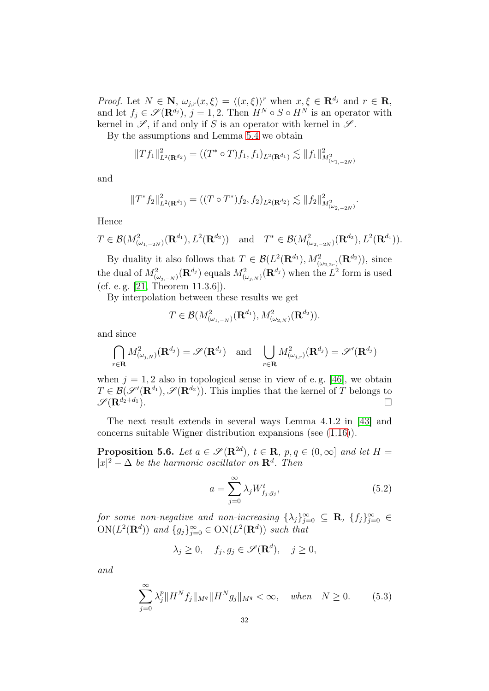*Proof.* Let  $N \in \mathbb{N}$ ,  $\omega_{j,r}(x,\xi) = \langle (x,\xi) \rangle^r$  when  $x,\xi \in \mathbb{R}^{d_j}$  and  $r \in \mathbb{R}$ , and let  $f_j \in \mathscr{S}(\mathbf{R}^{d_j})$ ,  $j = 1, 2$ . Then  $H^N \circ S \circ H^N$  is an operator with kernel in  $\mathscr{S}$ , if and only if S is an operator with kernel in  $\mathscr{S}$ .

By the assumptions and Lemma [5.4](#page-30-0) we obtain

$$
||Tf_1||_{L^2(\mathbf{R}^{d_2})}^2 = ((T^* \circ T)f_1, f_1)_{L^2(\mathbf{R}^{d_1})} \lesssim ||f_1||_{M^2_{(\omega_{1,-2N})}}^2
$$

and

$$
||T^*f_2||^2_{L^2(\mathbf{R}^{d_1})} = ((T \circ T^*)f_2, f_2)_{L^2(\mathbf{R}^{d_2})} \lesssim ||f_2||^2_{M^2_{(\omega_{2,-2N})}}.
$$

Hence

$$
T \in \mathcal{B}(M^2_{(\omega_{1,-2N})}(\mathbf{R}^{d_1}), L^2(\mathbf{R}^{d_2}))
$$
 and  $T^* \in \mathcal{B}(M^2_{(\omega_{2,-2N})}(\mathbf{R}^{d_2}), L^2(\mathbf{R}^{d_1})).$ 

By duality it also follows that  $T \in \mathcal{B}(L^2(\mathbf{R}^{d_1}), M^2_{(\omega_2, 2r)}(\mathbf{R}^{d_2}))$ , since the dual of  $M^2_{(\omega_{j,-N})}(\mathbf{R}^{d_j})$  equals  $M^2_{(\omega_{j,N})}(\mathbf{R}^{d_j})$  when the  $L^2$  form is used (cf. e. g. [\[21,](#page-36-0) Theorem 11.3.6]).

By interpolation between these results we get

$$
T \in \mathcal{B}(M^2_{(\omega_{1,-N})}(\mathbf{R}^{d_1}), M^2_{(\omega_{2,N})}(\mathbf{R}^{d_2})).
$$

and since

$$
\bigcap_{r \in \mathbf{R}} M_{(\omega_j, N)}^2(\mathbf{R}^{d_j}) = \mathscr{S}(\mathbf{R}^{d_j}) \text{ and } \bigcup_{r \in \mathbf{R}} M_{(\omega_j, r)}^2(\mathbf{R}^{d_j}) = \mathscr{S}'(\mathbf{R}^{d_j})
$$

when  $j = 1, 2$  also in topological sense in view of e.g. [\[46\]](#page-37-4), we obtain  $T \in \mathcal{B}(\mathscr{S}'(\mathbf{R}^{d_1}), \mathscr{S}(\mathbf{R}^{d_2}))$ . This implies that the kernel of T belongs to  $\mathscr{S}(\mathbf{R}^{d_2+d_1})$ .

The next result extends in several ways Lemma 4.1.2 in [\[43\]](#page-37-13) and concerns suitable Wigner distribution expansions (see [\(1.16\)](#page-11-2)).

<span id="page-31-0"></span>**Proposition 5.6.** Let  $a \in \mathscr{S}(\mathbf{R}^{2d})$ ,  $t \in \mathbf{R}$ ,  $p, q \in (0, \infty]$  and let  $H =$  $|x|^2 - \Delta$  be the harmonic oscillator on  $\mathbf{R}^d$ . Then

<span id="page-31-2"></span><span id="page-31-1"></span>
$$
a = \sum_{j=0}^{\infty} \lambda_j W_{f_j, g_j}^t,
$$
\n(5.2)

for some non-negative and non-increasing  $\{\lambda_j\}_{j=0}^{\infty} \subseteq \mathbb{R}$ ,  $\{f_j\}_{j=0}^{\infty} \in$  $ON(L^2(\mathbf{R}^d))$  and  $\{g_j\}_{j=0}^{\infty} \in ON(L^2(\mathbf{R}^d))$  such that

$$
\lambda_j \ge 0, \quad f_j, g_j \in \mathscr{S}(\mathbf{R}^d), \quad j \ge 0,
$$

and

$$
\sum_{j=0}^{\infty} \lambda_j^p \|H^N f_j\|_{M^q} \|H^N g_j\|_{M^q} < \infty, \quad when \quad N \ge 0. \tag{5.3}
$$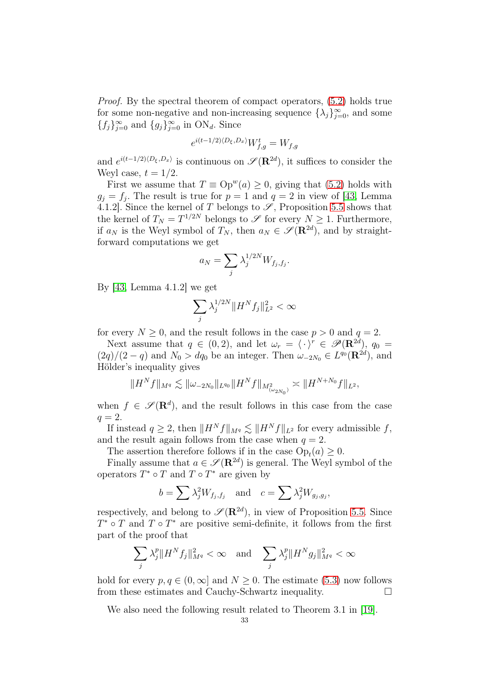Proof. By the spectral theorem of compact operators, [\(5.2\)](#page-31-1) holds true for some non-negative and non-increasing sequence  $\{\lambda_j\}_{j=0}^{\infty}$ , and some  ${f_j}_{j=0}^{\infty}$  and  ${g_j}_{j=0}^{\infty}$  in ON<sub>d</sub>. Since

$$
e^{i(t-1/2)\langle D_{\xi}, D_x \rangle} W_{f,g}^t = W_{f,g}
$$

and  $e^{i(t-1/2)\langle D_{\xi}, D_x \rangle}$  is continuous on  $\mathscr{S}(\mathbf{R}^{2d})$ , it suffices to consider the Weyl case,  $t = 1/2$ .

First we assume that  $T \equiv \text{Op}^w(a) \geq 0$ , giving that [\(5.2\)](#page-31-1) holds with  $g_j = f_j$ . The result is true for  $p = 1$  and  $q = 2$  in view of [\[43,](#page-37-13) Lemma 4.1.2]. Since the kernel of T belongs to  $\mathscr{S}$ , Proposition [5.5](#page-30-1) shows that the kernel of  $T_N = T^{1/2N}$  belongs to  $\mathscr S$  for every  $N \geq 1$ . Furthermore, if  $a_N$  is the Weyl symbol of  $T_N$ , then  $a_N \in \mathscr{S}(\mathbf{R}^{2d})$ , and by straightforward computations we get

$$
a_N = \sum_j \lambda_j^{1/2N} W_{f_j, f_j}.
$$

By [\[43,](#page-37-13) Lemma 4.1.2] we get

$$
\sum_j \lambda_j^{1/2N} \|H^N f_j\|_{L^2}^2 < \infty
$$

for every  $N \geq 0$ , and the result follows in the case  $p > 0$  and  $q = 2$ .

Next assume that  $q \in (0, 2)$ , and let  $\omega_r = \langle \cdot \rangle^r \in \mathscr{P}(\mathbb{R}^{2d})$ ,  $q_0 =$  $(2q)/(2-q)$  and  $N_0 > dq_0$  be an integer. Then  $\omega_{-2N_0} \in L^{q_0}(\mathbf{R}^{2d})$ , and Hölder's inequality gives

$$
||H^N f||_{M^q} \lesssim ||\omega_{-2N_0}||_{L^{q_0}} ||H^N f||_{M^2_{(\omega_{2N_0})}} \asymp ||H^{N+N_0} f||_{L^2},
$$

when  $f \in \mathscr{S}(\mathbf{R}^d)$ , and the result follows in this case from the case  $q=2$ .

If instead  $q \geq 2$ , then  $||H^N f||_{M^q} \lesssim ||H^N f||_{L^2}$  for every admissible f, and the result again follows from the case when  $q = 2$ .

The assertion therefore follows if in the case  $Op_t(a) \geq 0$ .

Finally assume that  $a \in \mathscr{S}(\mathbf{R}^{2d})$  is general. The Weyl symbol of the operators  $T^* \circ T$  and  $T \circ T^*$  are given by

$$
b = \sum \lambda_j^2 W_{f_j, f_j}
$$
 and  $c = \sum \lambda_j^2 W_{g_j, g_j}$ ,

respectively, and belong to  $\mathscr{S}(\mathbf{R}^{2d})$ , in view of Proposition [5.5.](#page-30-1) Since  $T^* \circ T$  and  $T \circ T^*$  are positive semi-definite, it follows from the first part of the proof that

$$
\sum_{j} \lambda_j^p \|H^N f_j\|_{M^q}^2 < \infty \quad \text{and} \quad \sum_{j} \lambda_j^p \|H^N g_j\|_{M^q}^2 < \infty
$$

hold for every  $p, q \in (0, \infty]$  and  $N \geq 0$ . The estimate [\(5.3\)](#page-31-2) now follows from these estimates and Cauchy-Schwartz inequality.

We also need the following result related to Theorem 3.1 in [\[19\]](#page-36-12).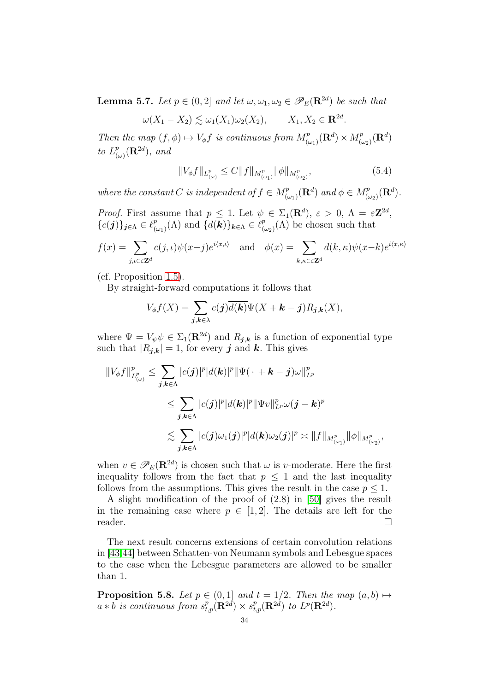<span id="page-33-0"></span>**Lemma 5.7.** Let  $p \in (0,2]$  and let  $\omega, \omega_1, \omega_2 \in \mathscr{P}_E(\mathbf{R}^{2d})$  be such that

$$
\omega(X_1 - X_2) \lesssim \omega_1(X_1)\omega_2(X_2), \qquad X_1, X_2 \in \mathbf{R}^{2d}.
$$

Then the map  $(f, \phi) \mapsto V_{\phi}f$  is continuous from  $M^p_{(\omega_1)}(\mathbf{R}^d) \times M^p_{(\omega_2)}(\mathbf{R}^d)$ to  $L^p_{(q)}$  $^p_{(\omega)}(\mathbf{R}^{2d})$ , and

$$
||V_{\phi}f||_{L^{p}_{(\omega)}} \leq C||f||_{M^{p}_{(\omega_{1})}} ||\phi||_{M^{p}_{(\omega_{2})}}, \tag{5.4}
$$

where the constant C is independent of  $f \in M^p_{(\omega_1)}(\mathbf{R}^d)$  and  $\phi \in M^p_{(\omega_2)}(\mathbf{R}^d)$ .

*Proof.* First assume that  $p \leq 1$ . Let  $\psi \in \Sigma_1(\mathbf{R}^d)$ ,  $\varepsilon > 0$ ,  $\Lambda = \varepsilon \mathbf{Z}^{2d}$ ,  ${c(j)}_{j\in\Lambda} \in \ell_{\alpha}^p$  $\binom{p}{(\omega_1)}(\Lambda)$  and  $\{d(\mathbf{k})\}_{\mathbf{k}\in\Lambda}\in\ell_{(\Lambda)}^p$  $\binom{p}{(\omega_2)}(\Lambda)$  be chosen such that

$$
f(x) = \sum_{j,\iota \in \varepsilon \mathbb{Z}^d} c(j,\iota)\psi(x-j)e^{i\langle x,\iota \rangle} \quad \text{and} \quad \phi(x) = \sum_{k,\kappa \in \varepsilon \mathbb{Z}^d} d(k,\kappa)\psi(x-k)e^{i\langle x,\kappa \rangle}
$$

(cf. Proposition [1.5\)](#page-9-3).

By straight-forward computations it follows that

$$
V_{\phi}f(X) = \sum_{\boldsymbol{j},\boldsymbol{k}\in\lambda} c(\boldsymbol{j})\overline{d(\boldsymbol{k})}\Psi(X+\boldsymbol{k}-\boldsymbol{j})R_{\boldsymbol{j},\boldsymbol{k}}(X),
$$

where  $\Psi = V_{\psi} \psi \in \Sigma_1(\mathbf{R}^{2d})$  and  $R_{\mathbf{j},\mathbf{k}}$  is a function of exponential type such that  $|R_{j,k}| = 1$ , for every j and k. This gives

$$
\begin{aligned}\n||V_{\phi}f||_{L^p_{(\omega)}}^p &\leq \sum_{\boldsymbol{j},\boldsymbol{k}\in\Lambda} |c(\boldsymbol{j})|^p |d(\boldsymbol{k})|^p \|\Psi(\,\cdot\,+\boldsymbol{k}-\boldsymbol{j})\omega\|_{L^p}^p \\
&\leq \sum_{\boldsymbol{j},\boldsymbol{k}\in\Lambda} |c(\boldsymbol{j})|^p |d(\boldsymbol{k})|^p \|\Psi v\|_{L^p}^p \omega(\boldsymbol{j}-\boldsymbol{k})^p \\
&\lesssim \sum_{\boldsymbol{j},\boldsymbol{k}\in\Lambda} |c(\boldsymbol{j})\omega_1(\boldsymbol{j})|^p |d(\boldsymbol{k})\omega_2(\boldsymbol{j})|^p \asymp \|f\|_{M^p_{(\omega_1)}} \|\phi\|_{M^p_{(\omega_2)}},\n\end{aligned}
$$

when  $v \in \mathscr{P}_E(\mathbf{R}^{2d})$  is chosen such that  $\omega$  is v-moderate. Here the first inequality follows from the fact that  $p \leq 1$  and the last inequality follows from the assumptions. This gives the result in the case  $p \leq 1$ .

A slight modification of the proof of (2.8) in [\[50\]](#page-37-5) gives the result in the remaining case where  $p \in [1,2]$ . The details are left for the reader.  $\Box$ 

The next result concerns extensions of certain convolution relations in [\[43,](#page-37-13)[44\]](#page-37-14) between Schatten-von Neumann symbols and Lebesgue spaces to the case when the Lebesgue parameters are allowed to be smaller than 1.

<span id="page-33-1"></span>**Proposition 5.8.** Let  $p \in (0,1]$  and  $t = 1/2$ . Then the map  $(a, b) \mapsto$  $a * b$  is continuous from  $s^p_{t,p}(\mathbf{R}^{2d}) \times s^p_{t,p}(\mathbf{R}^{2d})$  to  $L^p(\mathbf{R}^{2d})$ .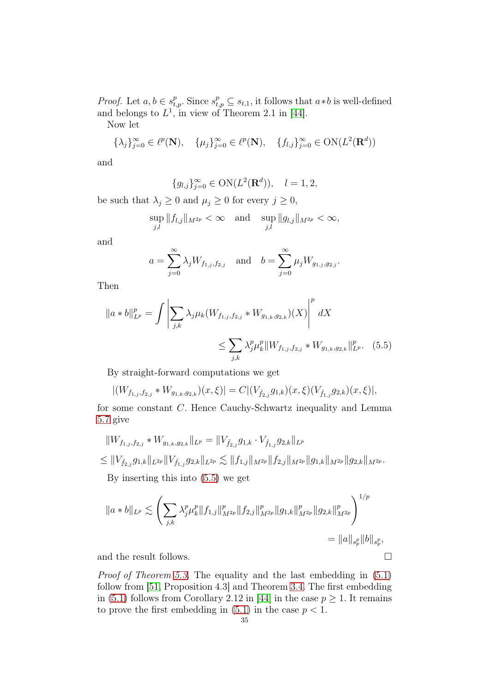*Proof.* Let  $a, b \in s_{t,p}^p$ . Since  $s_{t,p}^p \subseteq s_{t,1}$ , it follows that  $a * b$  is well-defined and belongs to  $L^1$ , in view of Theorem 2.1 in [\[44\]](#page-37-14).

Now let

$$
\{\lambda_j\}_{j=0}^{\infty} \in \ell^p(\mathbf{N}), \quad \{\mu_j\}_{j=0}^{\infty} \in \ell^p(\mathbf{N}), \quad \{f_{l,j}\}_{j=0}^{\infty} \in \text{ON}(L^2(\mathbf{R}^d))
$$

and

$$
{g_{l,j}}_{j=0}^{\infty} \in ON(L^2(\mathbf{R}^d)), \quad l=1,2,
$$

be such that  $\lambda_j \geq 0$  and  $\mu_j \geq 0$  for every  $j \geq 0$ ,

$$
\sup_{j,l} \|f_{l,j}\|_{M^{2p}} < \infty \quad \text{and} \quad \sup_{j,l} \|g_{l,j}\|_{M^{2p}} < \infty,
$$

and

<span id="page-34-0"></span>
$$
a = \sum_{j=0}^{\infty} \lambda_j W_{f_{1,j}, f_{2,j}}
$$
 and  $b = \sum_{j=0}^{\infty} \mu_j W_{g_{1,j}, g_{2,j}}$ .

Then

$$
||a * b||_{L^{p}}^{p} = \int \left| \sum_{j,k} \lambda_{j} \mu_{k} (W_{f_{1,j},f_{2,j}} * W_{g_{1,k},g_{2,k}})(X) \right|^{p} dX
$$
  

$$
\leq \sum_{j,k} \lambda_{j}^{p} \mu_{k}^{p} ||W_{f_{1,j},f_{2,j}} * W_{g_{1,k},g_{2,k}}||_{L^{p}}^{p}.
$$
 (5.5)

By straight-forward computations we get

$$
|(W_{f_{1,j},f_{2,j}}*W_{g_{1,k},g_{2,k}})(x,\xi)|=C|(V_{\check f_{2,j}}g_{1,k})(x,\xi)(V_{\check f_{1,j}}g_{2,k})(x,\xi)|,
$$

for some constant C. Hence Cauchy-Schwartz inequality and Lemma [5.7](#page-33-0) give

$$
||W_{f_{1,j},f_{2,j}} * W_{g_{1,k},g_{2,k}}||_{L^p} = ||V_{\check{f}_{2,j}}g_{1,k} \cdot V_{\check{f}_{1,j}}g_{2,k}||_{L^p}
$$
  
\n
$$
\leq ||V_{\check{f}_{2,j}}g_{1,k}||_{L^{2p}}||V_{\check{f}_{1,j}}g_{2,k}||_{L^{2p}} \lesssim ||f_{1,j}||_{M^{2p}}||f_{2,j}||_{M^{2p}}||g_{1,k}||_{M^{2p}}||g_{2,k}||_{M^{2p}}.
$$

By inserting this into [\(5.5\)](#page-34-0) we get

$$
||a * b||_{L^{p}} \lesssim \left( \sum_{j,k} \lambda_{j}^{p} \mu_{k}^{p} ||f_{1,j}||_{M^{2p}}^{p} ||f_{2,j}||_{M^{2p}}^{p} ||g_{1,k}||_{M^{2p}}^{p} ||g_{2,k}||_{M^{2p}}^{p} \right)^{1/p} = ||a||_{s_{p}^{p}} ||b||_{s_{p}^{p}},
$$

and the result follows.  $\hfill \square$ 

Proof of Theorem [5.3.](#page-30-2) The equality and the last embedding in [\(5.1\)](#page-30-3) follow from [\[51,](#page-37-8) Proposition 4.3] and Theorem [3.4.](#page-23-0) The first embedding in [\(5.1\)](#page-30-3) follows from Corollary 2.12 in [\[44\]](#page-37-14) in the case  $p \geq 1$ . It remains to prove the first embedding in  $(5.1)$  in the case  $p < 1$ .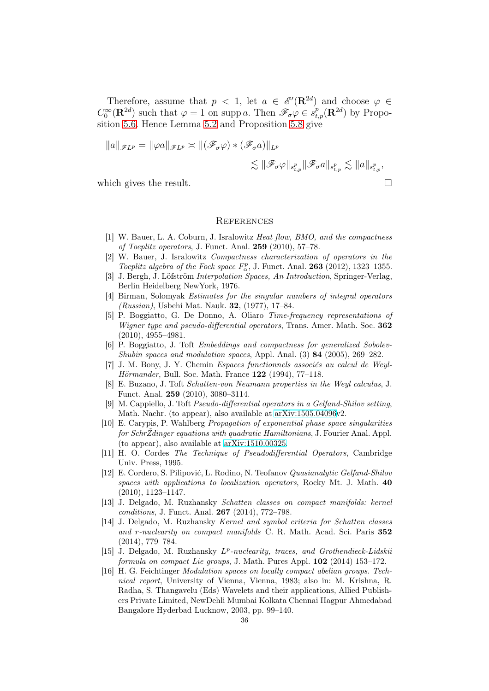Therefore, assume that  $p \leq 1$ , let  $a \in \mathscr{E}'(\mathbf{R}^{2d})$  and choose  $\varphi \in \mathcal{E}'(\mathbf{R}^{2d})$  $C_0^{\infty}(\mathbf{R}^{2d})$  such that  $\varphi = 1$  on supp a. Then  $\mathscr{F}_{\sigma}\varphi \in s_{t,p}^p(\mathbf{R}^{2d})$  by Proposition [5.6.](#page-31-0) Hence Lemma [5.2](#page-30-4) and Proposition [5.8](#page-33-1) give

$$
||a||_{\mathscr{F}L^p} = ||\varphi a||_{\mathscr{F}L^p} \asymp ||(\mathscr{F}_{\sigma}\varphi) * (\mathscr{F}_{\sigma}a)||_{L^p}
$$
  

$$
\lesssim ||\mathscr{F}_{\sigma}\varphi||_{s_{t,p}^p} ||\mathscr{F}_{\sigma}a||_{s_{t,p}^p} \lesssim ||a||_{s_{t,p}^p},
$$

which gives the result.  $\Box$ 

#### **REFERENCES**

- <span id="page-35-1"></span><span id="page-35-0"></span>[1] W. Bauer, L. A. Coburn, J. Isralowitz Heat flow, BMO, and the compactness of Toeplitz operators, J. Funct. Anal. 259 (2010), 57–78.
- W. Bauer, J. Isralowitz Compactness characterization of operators in the Toeplitz algebra of the Fock space  $F_{\alpha}^{p}$ , J. Funct. Anal. **263** (2012), 1323–1355.
- <span id="page-35-11"></span>[3] J. Bergh, J. Löfström Interpolation Spaces, An Introduction, Springer-Verlag, Berlin Heidelberg NewYork, 1976.
- <span id="page-35-8"></span>[4] Birman, Solomyak Estimates for the singular numbers of integral operators (Russian), Usbehi Mat. Nauk. 32, (1977), 17–84.
- <span id="page-35-7"></span>[5] P. Boggiatto, G. De Donno, A. Oliaro Time-frequency representations of Wigner type and pseudo-differential operators, Trans. Amer. Math. Soc. 362 (2010), 4955–4981.
- <span id="page-35-14"></span>[6] P. Boggiatto, J. Toft Embeddings and compactness for generalized Sobolev-Shubin spaces and modulation spaces, Appl. Anal. (3) 84 (2005), 269–282.
- <span id="page-35-9"></span>[7] J. M. Bony, J. Y. Chemin Espaces functionnels associés au calcul de Weyl-Hörmander, Bull. Soc. Math. France 122 (1994), 77–118.
- <span id="page-35-2"></span>[8] E. Buzano, J. Toft Schatten-von Neumann properties in the Weyl calculus, J. Funct. Anal. 259 (2010), 3080–3114.
- <span id="page-35-12"></span>[9] M. Cappiello, J. Toft Pseudo-differential operators in a Gelfand-Shilov setting, Math. Nachr. (to appear), also available at [arXiv:1505.04096v](http://arxiv.org/abs/1505.04096)2.
- <span id="page-35-13"></span>[10] E. Carypis, P. Wahlberg Propagation of exponential phase space singularities for SchrŽdinger equations with quadratic Hamiltonians, J. Fourier Anal. Appl. (to appear), also available at [arXiv:1510.00325.](http://arxiv.org/abs/1510.00325)
- <span id="page-35-10"></span>[11] H. O. Cordes The Technique of Pseudodifferential Operators, Cambridge Univ. Press, 1995.
- <span id="page-35-6"></span>[12] E. Cordero, S. Pilipović, L. Rodino, N. Teofanov Quasianalytic Gelfand-Shilov spaces with applications to localization operators, Rocky Mt. J. Math. 40 (2010), 1123–1147.
- <span id="page-35-4"></span>[13] J. Delgado, M. Ruzhansky Schatten classes on compact manifolds: kernel conditions, J. Funct. Anal. 267 (2014), 772–798.
- [14] J. Delgado, M. Ruzhansky Kernel and symbol criteria for Schatten classes and r-nuclearity on compact manifolds C. R. Math. Acad. Sci. Paris 352 (2014), 779–784.
- <span id="page-35-5"></span>[15] J. Delgado, M. Ruzhansky  $L^p$ -nuclearity, traces, and Grothendieck-Lidskii formula on compact Lie groups, J. Math. Pures Appl. 102 (2014) 153–172.
- <span id="page-35-3"></span>[16] H. G. Feichtinger Modulation spaces on locally compact abelian groups. Technical report, University of Vienna, Vienna, 1983; also in: M. Krishna, R. Radha, S. Thangavelu (Eds) Wavelets and their applications, Allied Publishers Private Limited, NewDehli Mumbai Kolkata Chennai Hagpur Ahmedabad Bangalore Hyderbad Lucknow, 2003, pp. 99–140.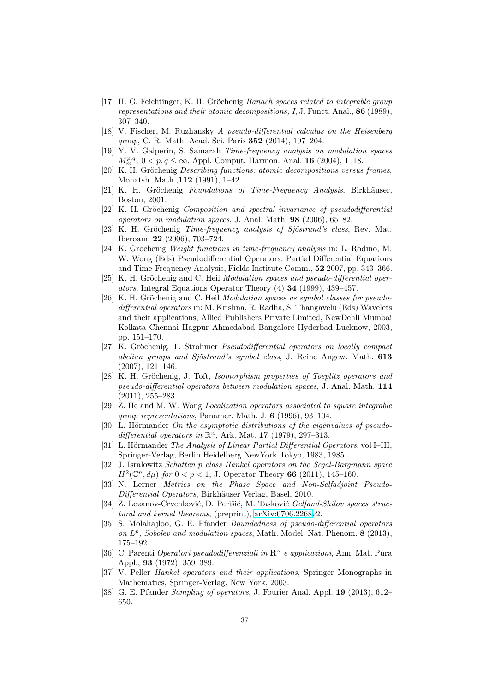- <span id="page-36-14"></span>[17] H. G. Feichtinger, K. H. Gröchenig Banach spaces related to integrable group representations and their atomic decompositions, I, J. Funct. Anal., 86 (1989), 307–340.
- <span id="page-36-7"></span>[18] V. Fischer, M. Ruzhansky A pseudo-differential calculus on the Heisenberg group, C. R. Math. Acad. Sci. Paris 352 (2014), 197–204.
- <span id="page-36-12"></span>[19] Y. V. Galperin, S. Samarah Time-frequency analysis on modulation spaces  $M_{m}^{p,q}, 0 < p, q \leq \infty$ , Appl. Comput. Harmon. Anal. **16** (2004), 1–18.
- <span id="page-36-15"></span>[20] K. H. Gröchenig Describing functions: atomic decompositions versus frames, Monatsh. Math.,112 (1991), 1–42.
- <span id="page-36-9"></span><span id="page-36-0"></span>[21] K. H. Gröchenig Foundations of Time-Frequency Analysis, Birkhäuser, Boston, 2001.
- [22] K. H. Gröchenig Composition and spectral invariance of pseudodifferential operators on modulation spaces, J. Anal. Math. 98 (2006), 65–82.
- <span id="page-36-10"></span>[23] K. H. Gröchenig Time-frequency analysis of Sjöstrand's class, Rev. Mat. Iberoam. 22 (2006), 703–724.
- <span id="page-36-13"></span>[24] K. Gröchenig Weight functions in time-frequency analysis in: L. Rodino, M. W. Wong (Eds) Pseudodifferential Operators: Partial Differential Equations and Time-Frequency Analysis, Fields Institute Comm., 52 2007, pp. 343–366.
- <span id="page-36-4"></span>[25] K. H. Gröchenig and C. Heil Modulation spaces and pseudo-differential operators, Integral Equations Operator Theory (4) 34 (1999), 439–457.
- <span id="page-36-5"></span>[26] K. H. Gröchenig and C. Heil Modulation spaces as symbol classes for pseudodifferential operators in: M. Krishna, R. Radha, S. Thangavelu (Eds) Wavelets and their applications, Allied Publishers Private Limited, NewDehli Mumbai Kolkata Chennai Hagpur Ahmedabad Bangalore Hyderbad Lucknow, 2003, pp. 151–170.
- <span id="page-36-11"></span>[27] K. Gröchenig, T. Strohmer Pseudodifferential operators on locally compact abelian groups and Sjöstrand's symbol class, J. Reine Angew. Math. 613 (2007), 121–146.
- <span id="page-36-20"></span>[28] K. H. Gröchenig, J. Toft, Isomorphism properties of Toeplitz operators and pseudo-differential operators between modulation spaces, J. Anal. Math. 114 (2011), 255–283.
- <span id="page-36-2"></span>[29] Z. He and M. W. Wong Localization operators associated to square integrable group representations, Panamer. Math. J. 6 (1996), 93–104.
- <span id="page-36-3"></span>[30] L. Hörmander On the asymptotic distributions of the eigenvalues of pseudodifferential operators in  $\mathbb{R}^n$ , Ark. Mat. 17 (1979), 297-313.
- <span id="page-36-1"></span>[31] L. Hörmander The Analysis of Linear Partial Differential Operators, vol I–III, Springer-Verlag, Berlin Heidelberg NewYork Tokyo, 1983, 1985.
- <span id="page-36-8"></span>[32] J. Isralowitz Schatten p class Hankel operators on the Segal-Bargmann space  $H^2(\mathbb{C}^n, d\mu)$  for  $0 < p < 1$ , J. Operator Theory 66 (2011), 145-160.
- <span id="page-36-17"></span>[33] N. Lerner Metrics on the Phase Space and Non-Selfadjoint Pseudo-Differential Operators, Birkhäuser Verlag, Basel, 2010.
- <span id="page-36-16"></span>[34] Z. Lozanov-Crvenković, D. Perišić, M. Tasković Gelfand-Shilov spaces structural and kernel theorems, (preprint), [arXiv:0706.2268v](http://arxiv.org/abs/0706.2268)2.
- <span id="page-36-6"></span>[35] S. Molahajloo, G. E. Pfander Boundedness of pseudo-differential operators on  $L^p$ , Sobolev and modulation spaces, Math. Model. Nat. Phenom. 8 (2013), 175–192.
- <span id="page-36-18"></span>[36] C. Parenti Operatori pseudodifferenziali in  $\mathbb{R}^n$  e applicazioni, Ann. Mat. Pura Appl., 93 (1972), 359–389.
- <span id="page-36-21"></span>[37] V. Peller Hankel operators and their applications, Springer Monographs in Mathematics, Springer-Verlag, New York, 2003.
- <span id="page-36-19"></span>[38] G. E. Pfander Sampling of operators, J. Fourier Anal. Appl. 19 (2013), 612– 650.